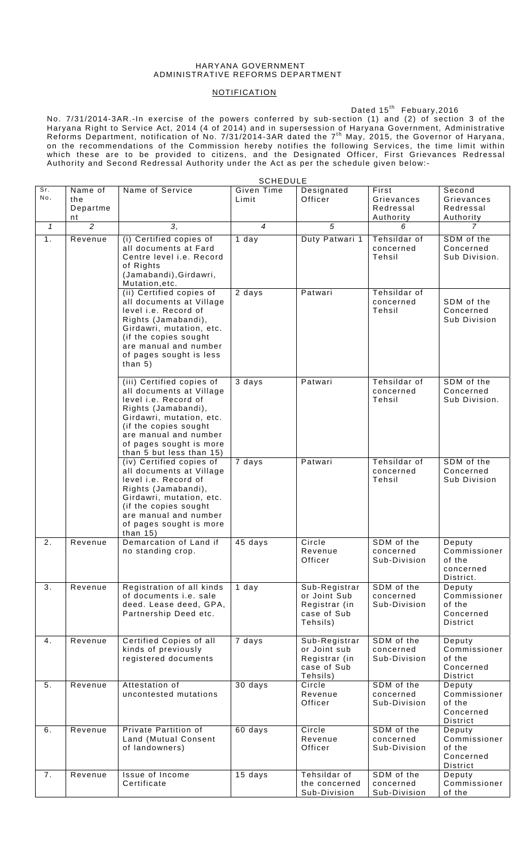## HARYANA GOVERNMENT ADMINISTRATIVE REFORMS DEPARTMENT

## **NOTIFICATION**

## $Dated 15<sup>th</sup>$  Febuary,2016

No. 7/31/2014-3AR.-In exercise of the powers conferred by sub-section (1) and (2) of section 3 of the Haryana Right to Service Act, 2014 (4 of 2014) and in supersession of Haryana Government, Administrative Reforms Department, notification of No. 7/31/2014-3AR dated the  $7<sup>th</sup>$  May, 2015, the Governor of Haryana, on the recommendations of the Commission hereby notifies the following Services, the time limit within which these are to be provided to citizens, and the Designated Officer, First Grievances Redressal Authority and Second Redressal Authority under the Act as per the schedule given below:-

|              |                                  |                                                                                                                                                                                                                                           | <b>SCHEDULE</b>            |                                                                           |                                               |                                                                  |
|--------------|----------------------------------|-------------------------------------------------------------------------------------------------------------------------------------------------------------------------------------------------------------------------------------------|----------------------------|---------------------------------------------------------------------------|-----------------------------------------------|------------------------------------------------------------------|
| Sr.<br>No.   | Name of<br>the<br>Departme<br>nt | Name of Service                                                                                                                                                                                                                           | <b>Given Time</b><br>Limit | Designated<br>Officer                                                     | First<br>Grievances<br>Redressal<br>Authority | Second<br>Grievances<br>Redressal<br>Authority                   |
| $\mathcal I$ | $\overline{2}$                   | 3,                                                                                                                                                                                                                                        | $\overline{4}$             | $\overline{5}$                                                            | 6                                             | 7                                                                |
| 1.           | Revenue                          | (i) Certified copies of<br>all documents at Fard<br>Centre level <i>i.e.</i> Record<br>of Rights<br>(Jamabandi), Girdawri,<br>Mutation, etc.                                                                                              | 1 day                      | Duty Patwari 1                                                            | Tehsildar of<br>concerned<br>Tehsil           | SDM of the<br>Concerned<br>Sub Division.                         |
|              |                                  | (ii) Certified copies of<br>all documents at Village<br>level i.e. Record of<br>Rights (Jamabandi),<br>Girdawri, mutation, etc.<br>(if the copies sought<br>are manual and number<br>of pages sought is less<br>than $5)$                 | 2 days                     | Patwari                                                                   | Tehsildar of<br>concerned<br>Tehsil           | SDM of the<br>Concerned<br>Sub Division                          |
|              |                                  | (iii) Certified copies of<br>all documents at Village<br>level i.e. Record of<br>Rights (Jamabandi),<br>Girdawri, mutation, etc.<br>(if the copies sought<br>are manual and number<br>of pages sought is more<br>than 5 but less than 15) | 3 days                     | Patwari                                                                   | Tehsildar of<br>concerned<br>Tehsil           | SDM of the<br>Concerned<br>Sub Division.                         |
|              |                                  | (iv) Certified copies of<br>all documents at Village<br>level i.e. Record of<br>Rights (Jamabandi),<br>Girdawri, mutation, etc.<br>(if the copies sought<br>are manual and number<br>of pages sought is more<br>than $15)$                | 7 days                     | Patwari                                                                   | Tehsildar of<br>concerned<br>Tehsil           | SDM of the<br>Concerned<br>Sub Division                          |
| 2.           | Revenue                          | Demarcation of Land if<br>no standing crop.                                                                                                                                                                                               | 45 days                    | Circle<br>Revenue<br>Officer                                              | SDM of the<br>concerned<br>Sub-Division       | Deputy<br>Commissioner<br>of the<br>concerned<br>District.       |
| 3.           | Revenue                          | Registration of all kinds<br>of documents i.e. sale<br>deed. Lease deed, GPA,<br>Partnership Deed etc.                                                                                                                                    | 1 day                      | Sub-Registrar<br>or Joint Sub<br>Registrar (in<br>case of Sub<br>Tehsils) | SDM of the<br>concerned<br>Sub-Division       | Deputy<br>Commissioner<br>of the<br>Concerned<br><b>District</b> |
| 4.           | Revenue                          | Certified Copies of all<br>kinds of previously<br>registered documents                                                                                                                                                                    | 7 days                     | Sub-Registrar<br>or Joint sub<br>Registrar (in<br>case of Sub<br>Tehsils) | SDM of the<br>concerned<br>Sub-Division       | Deputy<br>Commissioner<br>of the<br>Concerned<br>District        |
| 5.           | Revenue                          | Attestation of<br>uncontested mutations                                                                                                                                                                                                   | 30 days                    | Circle<br>Revenue<br>Officer                                              | SDM of the<br>concerned<br>Sub-Division       | Deputy<br>Commissioner<br>of the<br>Concerned<br>District        |
| 6.           | Revenue                          | Private Partition of<br>Land (Mutual Consent<br>of landowners)                                                                                                                                                                            | 60 days                    | Circle<br>Revenue<br>Officer                                              | SDM of the<br>concerned<br>Sub-Division       | Deputy<br>Commissioner<br>of the<br>Concerned<br>District        |
| 7.           | Revenue                          | Issue of Income<br>Certificate                                                                                                                                                                                                            | 15 days                    | Tehsildar of<br>the concerned<br>Sub-Division                             | SDM of the<br>concerned<br>Sub-Division       | Deputy<br>Commissioner<br>of the                                 |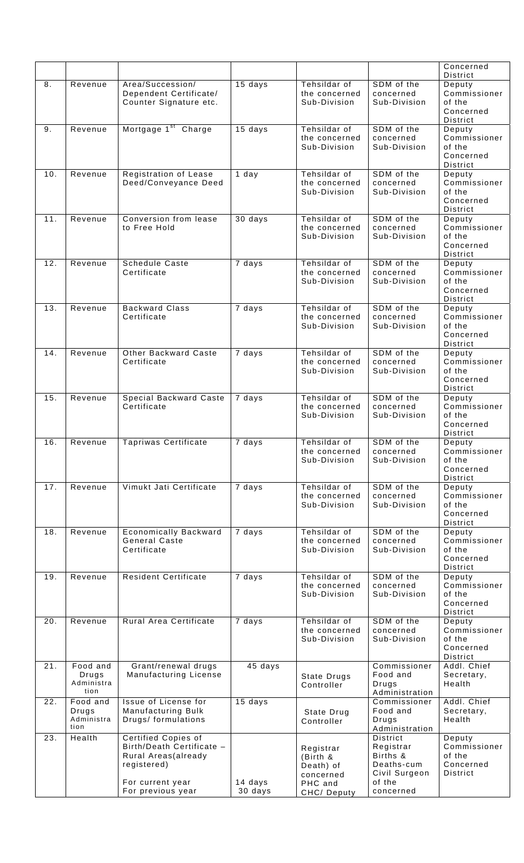|     |                                         |                                                                                                                                        |                    |                                                                          |                                                                                         | Concerned<br>District                                            |
|-----|-----------------------------------------|----------------------------------------------------------------------------------------------------------------------------------------|--------------------|--------------------------------------------------------------------------|-----------------------------------------------------------------------------------------|------------------------------------------------------------------|
| 8.  | Revenue                                 | Area/Succession/<br>Dependent Certificate/<br>Counter Signature etc.                                                                   | 15 days            | Tehsildar of<br>the concerned<br>Sub-Division                            | SDM of the<br>concerned<br>Sub-Division                                                 | Deputy<br>Commissioner<br>of the<br>Concerned<br>District        |
| 9.  | Revenue                                 | Mortgage 1 <sup>st</sup> Charge                                                                                                        | 15 days            | Tehsildar of<br>the concerned<br>Sub-Division                            | SDM of the<br>concerned<br>Sub-Division                                                 | Deputy<br>Commissioner<br>of the<br>Concerned<br>District        |
| 10. | Revenue                                 | Registration of Lease<br>Deed/Conveyance Deed                                                                                          | 1 day              | Tehsildar of<br>the concerned<br>Sub-Division                            | SDM of the<br>concerned<br>Sub-Division                                                 | Deputy<br>Commissioner<br>of the<br>Concerned<br>District        |
| 11. | Revenue                                 | Conversion from lease<br>to Free Hold                                                                                                  | 30 days            | Tehsildar of<br>the concerned<br>Sub-Division                            | SDM of the<br>concerned<br>Sub-Division                                                 | Deputy<br>Commissioner<br>of the<br>Concerned<br>District        |
| 12. | Revenue                                 | <b>Schedule Caste</b><br>Certificate                                                                                                   | 7 days             | Tehsildar of<br>the concerned<br>Sub-Division                            | SDM of the<br>concerned<br>Sub-Division                                                 | Deputy<br>Commissioner<br>of the<br>Concerned<br><b>District</b> |
| 13. | Revenue                                 | <b>Backward Class</b><br>Certificate                                                                                                   | 7 days             | Tehsildar of<br>the concerned<br>Sub-Division                            | SDM of the<br>concerned<br>Sub-Division                                                 | Deputy<br>Commissioner<br>of the<br>Concerned<br>District        |
| 14. | Revenue                                 | Other Backward Caste<br>Certificate                                                                                                    | 7 days             | Tehsildar of<br>the concerned<br>Sub-Division                            | SDM of the<br>concerned<br>Sub-Division                                                 | Deputy<br>Commissioner<br>of the<br>Concerned<br>District        |
| 15. | Revenue                                 | <b>Special Backward Caste</b><br>Certificate                                                                                           | 7 days             | Tehsildar of<br>the concerned<br>Sub-Division                            | SDM of the<br>concerned<br>Sub-Division                                                 | Deputy<br>Commissioner<br>of the<br>Concerned<br><b>District</b> |
| 16. | Revenue                                 | <b>Tapriwas Certificate</b>                                                                                                            | 7 days             | Tehsildar of<br>the concerned<br>Sub-Division                            | SDM of the<br>concerned<br>Sub-Division                                                 | Deputy<br>Commissioner<br>of the<br>Concerned<br>District        |
| 17. | Revenue                                 | Vimukt Jati Certificate                                                                                                                | 7 days             | Tehsildar of<br>the concerned<br>Sub-Division                            | SDM of the<br>concerned<br>Sub-Division                                                 | Deputy<br>Commissioner<br>of the<br>Concerned<br>District        |
| 18. | Revenue                                 | Economically Backward<br><b>General Caste</b><br>Certificate                                                                           | 7 days             | Tehsildar of<br>the concerned<br>Sub-Division                            | SDM of the<br>concerned<br>Sub-Division                                                 | Deputy<br>Commissioner<br>of the<br>Concerned<br>District        |
| 19. | Revenue                                 | <b>Resident Certificate</b>                                                                                                            | 7 days             | Tehsildar of<br>the concerned<br>Sub-Division                            | SDM of the<br>concerned<br>Sub-Division                                                 | Deputy<br>Commissioner<br>of the<br>Concerned<br>District        |
| 20. | Revenue                                 | Rural Area Certificate                                                                                                                 | 7 days             | Tehsildar of<br>the concerned<br>Sub-Division                            | SDM of the<br>concerned<br>Sub-Division                                                 | Deputy<br>Commissioner<br>of the<br>Concerned<br>District        |
| 21. | Food and<br>Drugs<br>Administra<br>tion | Grant/renewal drugs<br>Manufacturing License                                                                                           | 45 days            | State Drugs<br>Controller                                                | Commissioner<br>Food and<br>Drugs<br>Administration                                     | Addl. Chief<br>Secretary,<br>Health                              |
| 22. | Food and<br>Drugs<br>Administra<br>tion | Issue of License for<br>Manufacturing Bulk<br>Drugs/ formulations                                                                      | 15 days            | State Drug<br>Controller                                                 | Commissioner<br>Food and<br>Drugs<br>Administration                                     | Addl. Chief<br>Secretary,<br>Health                              |
| 23. | Health                                  | <b>Certified Copies of</b><br>Birth/Death Certificate -<br>Rural Areas(already<br>registered)<br>For current year<br>For previous year | 14 days<br>30 days | Registrar<br>(Birth &<br>Death) of<br>concerned<br>PHC and<br>CHC/Deputy | District<br>Registrar<br>Births &<br>Deaths-cum<br>Civil Surgeon<br>of the<br>concerned | Deputy<br>Commissioner<br>of the<br>Concerned<br>District        |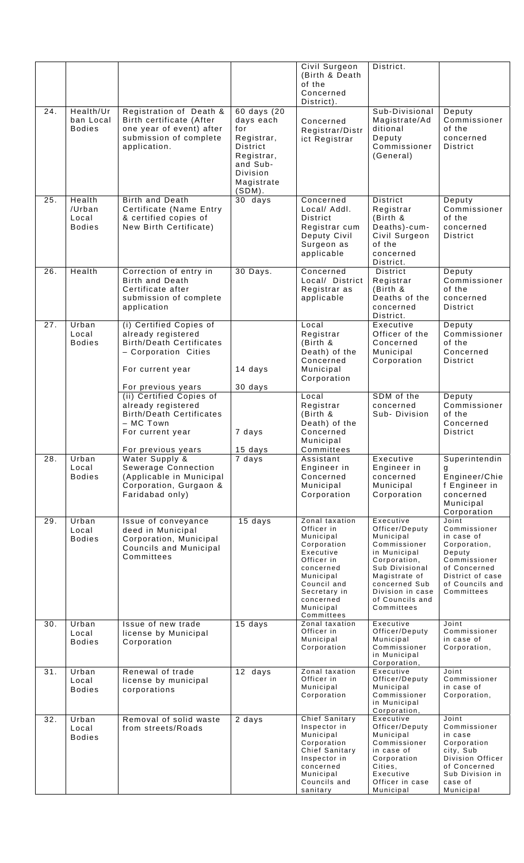|     |                                            |                                                                                                                                                    |                                                                                                                            | Civil Surgeon<br>(Birth & Death<br>of the<br>Concerned                                                                                                                               | District.                                                                                                                                                                                         |                                                                                                                                                    |
|-----|--------------------------------------------|----------------------------------------------------------------------------------------------------------------------------------------------------|----------------------------------------------------------------------------------------------------------------------------|--------------------------------------------------------------------------------------------------------------------------------------------------------------------------------------|---------------------------------------------------------------------------------------------------------------------------------------------------------------------------------------------------|----------------------------------------------------------------------------------------------------------------------------------------------------|
| 24. | Health/Ur<br>ban Local<br><b>Bodies</b>    | Registration of Death &<br>Birth certificate (After<br>one year of event) after<br>submission of complete<br>application.                          | 60 days (20<br>days each<br>for<br>Registrar,<br>District<br>Registrar,<br>and Sub-<br>Division<br>Magistrate<br>$(SDM)$ . | District).<br>Concerned<br>Registrar/Distr<br>ict Registrar                                                                                                                          | Sub-Divisional<br>Magistrate/Ad<br>ditional<br>Deputy<br>Commissioner<br>(General)                                                                                                                | Deputy<br>Commissioner<br>of the<br>concerned<br>District                                                                                          |
| 25. | Health<br>/Urban<br>Local<br><b>Bodies</b> | Birth and Death<br>Certificate (Name Entry<br>& certified copies of<br>New Birth Certificate)                                                      | 30 days                                                                                                                    | Concerned<br>Local/ Addl.<br><b>District</b><br>Registrar cum<br>Deputy Civil<br>Surgeon as<br>applicable                                                                            | District<br>Registrar<br>(Birth &<br>Deaths)-cum-<br>Civil Surgeon<br>of the<br>concerned<br>District.                                                                                            | Deputy<br>Commissioner<br>of the<br>concerned<br><b>District</b>                                                                                   |
| 26. | Health                                     | Correction of entry in<br>Birth and Death<br>Certificate after<br>submission of complete<br>application                                            | 30 Days.                                                                                                                   | Concerned<br>Local/ District<br>Registrar as<br>applicable                                                                                                                           | <b>District</b><br>Registrar<br>(Birth &<br>Deaths of the<br>concerned<br>District.                                                                                                               | Deputy<br>Commissioner<br>of the<br>concerned<br><b>District</b>                                                                                   |
| 27. | Urban<br>Local<br><b>Bodies</b>            | (i) Certified Copies of<br>already registered<br><b>Birth/Death Certificates</b><br>- Corporation Cities<br>For current year<br>For previous years | 14 days<br>30 days                                                                                                         | Local<br>Registrar<br>(Birth &<br>Death) of the<br>Concerned<br>Municipal<br>Corporation                                                                                             | Executive<br>Officer of the<br>Concerned<br>Municipal<br>Corporation                                                                                                                              | Deputy<br>Commissioner<br>of the<br>Concerned<br><b>District</b>                                                                                   |
|     |                                            | (ii) Certified Copies of<br>already registered<br><b>Birth/Death Certificates</b><br>- MC Town<br>For current year<br>For previous years           | 7 days<br>15 days                                                                                                          | Local<br>Registrar<br>(Birth &<br>Death) of the<br>Concerned<br>Municipal<br>Committees                                                                                              | SDM of the<br>concerned<br>Sub-Division                                                                                                                                                           | Deputy<br>Commissioner<br>of the<br>Concerned<br><b>District</b>                                                                                   |
| 28. | Urban<br>Local<br><b>Bodies</b>            | Water Supply &<br>Sewerage Connection<br>(Applicable in Municipal<br>Corporation, Gurgaon &<br>Faridabad only)                                     | $\overline{7}$ days                                                                                                        | Assistant<br>Engineer in<br>Concerned<br>Municipal<br>Corporation                                                                                                                    | Executive<br>Engineer in<br>concerned<br>Municipal<br>Corporation                                                                                                                                 | Superintendin<br>Engineer/Chie<br>f Engineer in<br>concerned<br>Municipal<br>Corporation                                                           |
| 29. | Urban<br>Local<br><b>Bodies</b>            | Issue of conveyance<br>deed in Municipal<br>Corporation, Municipal<br>Councils and Municipal<br>Committees                                         | 15 days                                                                                                                    | Zonal taxation<br>Officer in<br>Municipal<br>Corporation<br>Executive<br>Officer in<br>concerned<br>Municipal<br>Council and<br>Secretary in<br>concerned<br>Municipal<br>Committees | Executive<br>Officer/Deputy<br>Municipal<br>Commissioner<br>in Municipal<br>Corporation,<br>Sub Divisional<br>Magistrate of<br>concerned Sub<br>Division in case<br>of Councils and<br>Committees | Joint<br>Commissioner<br>in case of<br>Corporation,<br>Deputy<br>Commissioner<br>of Concerned<br>District of case<br>of Councils and<br>Committees |
| 30. | Urban<br>Local<br><b>Bodies</b>            | Issue of new trade<br>license by Municipal<br>Corporation                                                                                          | 15 days                                                                                                                    | Zonal taxation<br>Officer in<br>Municipal<br>Corporation                                                                                                                             | Executive<br>Officer/Deputy<br>Municipal<br>Commissioner<br>in Municipal<br>Corporation,                                                                                                          | Joint<br>Commissioner<br>in case of<br>Corporation,                                                                                                |
| 31. | Urban<br>Local<br><b>Bodies</b>            | Renewal of trade<br>license by municipal<br>corporations                                                                                           | 12 days                                                                                                                    | Zonal taxation<br>Officer in<br>Municipal<br>Corporation                                                                                                                             | Executive<br>Officer/Deputy<br>Municipal<br>Commissioner<br>in Municipal<br>Corporation,                                                                                                          | Joint<br>Commissioner<br>in case of<br>Corporation,                                                                                                |
| 32. | Urban<br>Local<br><b>Bodies</b>            | Removal of solid waste<br>from streets/Roads                                                                                                       | 2 days                                                                                                                     | <b>Chief Sanitary</b><br>Inspector in<br>Municipal<br>Corporation<br>Chief Sanitary<br>Inspector in<br>concerned<br>Municipal<br>Councils and<br>sanitary                            | Executive<br>Officer/Deputy<br>Municipal<br>Commissioner<br>in case of<br>Corporation<br>Cities,<br>Executive<br>Officer in case<br>Municipal                                                     | Joint<br>Commissioner<br>in case<br>Corporation<br>city, Sub<br>Division Officer<br>of Concerned<br>Sub Division in<br>case of<br>Municipal        |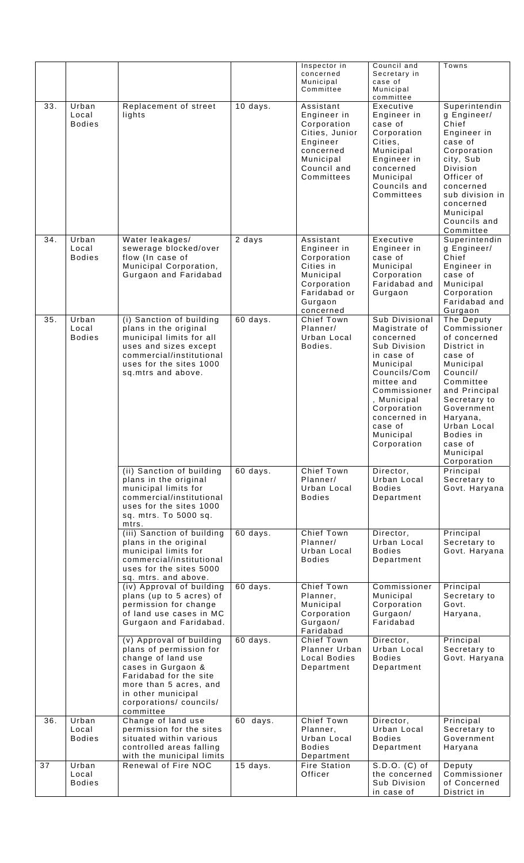|     |                                 |                                                                                                                                                                                                                   |            | Inspector in<br>concerned<br>Municipal<br>Committee                                                                          | Council and<br>Secretary in<br>case of<br>Municipal<br>committee                                                                                                                                                           | Towns                                                                                                                                                                                                                                    |
|-----|---------------------------------|-------------------------------------------------------------------------------------------------------------------------------------------------------------------------------------------------------------------|------------|------------------------------------------------------------------------------------------------------------------------------|----------------------------------------------------------------------------------------------------------------------------------------------------------------------------------------------------------------------------|------------------------------------------------------------------------------------------------------------------------------------------------------------------------------------------------------------------------------------------|
| 33. | Urban<br>Local<br><b>Bodies</b> | Replacement of street<br>lights                                                                                                                                                                                   | 10 days.   | Assistant<br>Engineer in<br>Corporation<br>Cities, Junior<br>Engineer<br>concerned<br>Municipal<br>Council and<br>Committees | Executive<br>Engineer in<br>case of<br>Corporation<br>Cities.<br>Municipal<br>Engineer in<br>concerned<br>Municipal<br>Councils and<br>Committees                                                                          | Superintendin<br>g Engineer/<br>Chief<br>Engineer in<br>case of<br>Corporation<br>city, Sub<br>Division<br>Officer of<br>concerned<br>sub division in<br>concerned<br>Municipal<br>Councils and<br>Committee                             |
| 34. | Urban<br>Local<br><b>Bodies</b> | Water leakages/<br>sewerage blocked/over<br>flow (In case of<br>Municipal Corporation,<br>Gurgaon and Faridabad                                                                                                   | 2 days     | Assistant<br>Engineer in<br>Corporation<br>Cities in<br>Municipal<br>Corporation<br>Faridabad or<br>Gurgaon<br>concerned     | Executive<br>Engineer in<br>case of<br>Municipal<br>Corporation<br>Faridabad and<br>Gurgaon                                                                                                                                | Superintendin<br>g Engineer/<br>Chief<br>Engineer in<br>case of<br>Municipal<br>Corporation<br>Faridabad and<br>Gurgaon                                                                                                                  |
| 35. | Urban<br>Local<br><b>Bodies</b> | (i) Sanction of building<br>plans in the original<br>municipal limits for all<br>uses and sizes except<br>commercial/institutional<br>uses for the sites 1000<br>sq.mtrs and above.                               | 60 days.   | Chief Town<br>Planner/<br>Urban Local<br>Bodies.                                                                             | Sub Divisional<br>Magistrate of<br>concerned<br>Sub Division<br>in case of<br>Municipal<br>Councils/Com<br>mittee and<br>Commissioner<br>, Municipal<br>Corporation<br>concerned in<br>case of<br>Municipal<br>Corporation | The Deputy<br>Commissioner<br>of concerned<br>District in<br>case of<br>Municipal<br>Council/<br>Committee<br>and Principal<br>Secretary to<br>Government<br>Haryana,<br>Urban Local<br>Bodies in<br>case of<br>Municipal<br>Corporation |
|     |                                 | (ii) Sanction of building<br>plans in the original<br>municipal limits for<br>commercial/institutional<br>uses for the sites 1000<br>sq. mtrs. To 5000 sq.<br>mtrs.                                               | 60 days.   | <b>Chief Town</b><br>Planner/<br>Urban Local<br><b>Bodies</b>                                                                | Director,<br>Urban Local<br><b>Bodies</b><br>Department                                                                                                                                                                    | Principal<br>Secretary to<br>Govt. Haryana                                                                                                                                                                                               |
|     |                                 | (iii) Sanction of building<br>plans in the original<br>municipal limits for<br>commercial/institutional<br>uses for the sites 5000<br>sq. mtrs. and above.                                                        | 60 days.   | <b>Chief Town</b><br>Planner/<br>Urban Local<br><b>Bodies</b>                                                                | Director,<br>Urban Local<br><b>Bodies</b><br>Department                                                                                                                                                                    | Principal<br>Secretary to<br>Govt. Haryana                                                                                                                                                                                               |
|     |                                 | (iv) Approval of building<br>plans (up to 5 acres) of<br>permission for change<br>of land use cases in MC<br>Gurgaon and Faridabad.                                                                               | 60 days.   | <b>Chief Town</b><br>Planner,<br>Municipal<br>Corporation<br>Gurgaon/<br>Faridabad                                           | Commissioner<br>Municipal<br>Corporation<br>Gurgaon/<br>Faridabad                                                                                                                                                          | Principal<br>Secretary to<br>Govt.<br>Haryana,                                                                                                                                                                                           |
|     |                                 | (v) Approval of building<br>plans of permission for<br>change of land use<br>cases in Gurgaon &<br>Faridabad for the site<br>more than 5 acres, and<br>in other municipal<br>corporations/ councils/<br>committee | 60 days.   | Chief Town<br>Planner Urban<br>Local Bodies<br>Department                                                                    | Director,<br>Urban Local<br><b>Bodies</b><br>Department                                                                                                                                                                    | Principal<br>Secretary to<br>Govt. Haryana                                                                                                                                                                                               |
| 36. | Urban<br>Local<br><b>Bodies</b> | Change of land use<br>permission for the sites<br>situated within various<br>controlled areas falling<br>with the municipal limits                                                                                | 60 days.   | <b>Chief Town</b><br>Planner,<br>Urban Local<br><b>Bodies</b><br>Department                                                  | Director,<br>Urban Local<br><b>Bodies</b><br>Department                                                                                                                                                                    | Principal<br>Secretary to<br>Government<br>Haryana                                                                                                                                                                                       |
| 37  | Urban<br>Local<br><b>Bodies</b> | Renewal of Fire NOC                                                                                                                                                                                               | $15$ days. | <b>Fire Station</b><br>Officer                                                                                               | $S.D.O. (C)$ of<br>the concerned<br>Sub Division<br>in case of                                                                                                                                                             | Deputy<br>Commissioner<br>of Concerned<br>District in                                                                                                                                                                                    |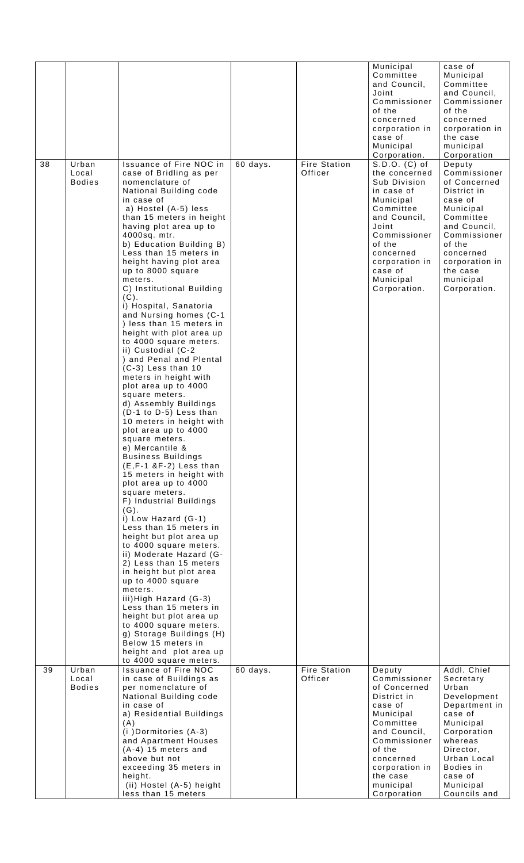|    |                                 |                                                                                                                                                                                                                                                                                                                                                                                                                                                                                                                                                                                                                                                                                                                                                                                                                                                                                                                                                                                                                                                                                                                                                                                                                                                                                                                                                                                                              |          |                                | Municipal<br>Committee<br>and Council,<br>Joint<br>Commissioner<br>of the<br>concerned<br>corporation in<br>case of<br>Municipal<br>Corporation.                                                                 | case of<br>Municipal<br>Committee<br>and Council,<br>Commissioner<br>of the<br>concerned<br>corporation in<br>the case<br>municipal<br>Corporation                                                           |
|----|---------------------------------|--------------------------------------------------------------------------------------------------------------------------------------------------------------------------------------------------------------------------------------------------------------------------------------------------------------------------------------------------------------------------------------------------------------------------------------------------------------------------------------------------------------------------------------------------------------------------------------------------------------------------------------------------------------------------------------------------------------------------------------------------------------------------------------------------------------------------------------------------------------------------------------------------------------------------------------------------------------------------------------------------------------------------------------------------------------------------------------------------------------------------------------------------------------------------------------------------------------------------------------------------------------------------------------------------------------------------------------------------------------------------------------------------------------|----------|--------------------------------|------------------------------------------------------------------------------------------------------------------------------------------------------------------------------------------------------------------|--------------------------------------------------------------------------------------------------------------------------------------------------------------------------------------------------------------|
| 38 | Urban<br>Local<br><b>Bodies</b> | Issuance of Fire NOC in<br>case of Bridling as per<br>nomenclature of<br>National Building code<br>in case of<br>a) Hostel (A-5) less<br>than 15 meters in height<br>having plot area up to<br>4000sq. mtr.<br>b) Education Building B)<br>Less than 15 meters in<br>height having plot area<br>up to 8000 square<br>meters.<br>C) Institutional Building<br>(C).<br>i) Hospital, Sanatoria<br>and Nursing homes (C-1<br>) less than 15 meters in<br>height with plot area up<br>to 4000 square meters.<br>ii) Custodial (C-2<br>) and Penal and Plental<br>$(C-3)$ Less than 10<br>meters in height with<br>plot area up to 4000<br>square meters.<br>d) Assembly Buildings<br>(D-1 to D-5) Less than<br>10 meters in height with<br>plot area up to 4000<br>square meters.<br>e) Mercantile &<br><b>Business Buildings</b><br>$(E, F-1, 8F-2)$ Less than<br>15 meters in height with<br>plot area up to 4000<br>square meters.<br>F) Industrial Buildings<br>$(G)$ .<br>i) Low Hazard (G-1)<br>Less than 15 meters in<br>height but plot area up<br>to 4000 square meters.<br>ii) Moderate Hazard (G-<br>2) Less than 15 meters<br>in height but plot area<br>up to 4000 square<br>meters.<br>iii) High Hazard (G-3)<br>Less than 15 meters in<br>height but plot area up<br>to 4000 square meters.<br>g) Storage Buildings (H)<br>Below 15 meters in<br>height and plot area up<br>to 4000 square meters. | 60 days. | <b>Fire Station</b><br>Officer | S.D.O. (C) of<br>the concerned<br>Sub Division<br>in case of<br>Municipal<br>Committee<br>and Council,<br>Joint<br>Commissioner<br>of the<br>concerned<br>corporation in<br>case of<br>Municipal<br>Corporation. | Deputy<br>Commissioner<br>of Concerned<br>District in<br>case of<br>Municipal<br>Committee<br>and Council,<br>Commissioner<br>of the<br>concerned<br>corporation in<br>the case<br>municipal<br>Corporation. |
| 39 | Urban<br>Local                  | <b>Issuance of Fire NOC</b><br>in case of Buildings as                                                                                                                                                                                                                                                                                                                                                                                                                                                                                                                                                                                                                                                                                                                                                                                                                                                                                                                                                                                                                                                                                                                                                                                                                                                                                                                                                       | 60 days. | <b>Fire Station</b><br>Officer | Deputy<br>Commissioner                                                                                                                                                                                           | Addl. Chief<br>Secretary                                                                                                                                                                                     |
|    | <b>Bodies</b>                   | per nomenclature of<br>National Building code<br>in case of<br>a) Residential Buildings<br>(A)<br>(i) Dormitories (A-3)<br>and Apartment Houses<br>$(A-4)$ 15 meters and<br>above but not<br>exceeding 35 meters in<br>height.<br>(ii) Hostel (A-5) height<br>less than 15 meters                                                                                                                                                                                                                                                                                                                                                                                                                                                                                                                                                                                                                                                                                                                                                                                                                                                                                                                                                                                                                                                                                                                            |          |                                | of Concerned<br>District in<br>case of<br>Municipal<br>Committee<br>and Council,<br>Commissioner<br>of the<br>concerned<br>corporation in<br>the case<br>municipal<br>Corporation                                | Urban<br>Development<br>Department in<br>case of<br>Municipal<br>Corporation<br>whereas<br>Director,<br>Urban Local<br>Bodies in<br>case of<br>Municipal<br>Councils and                                     |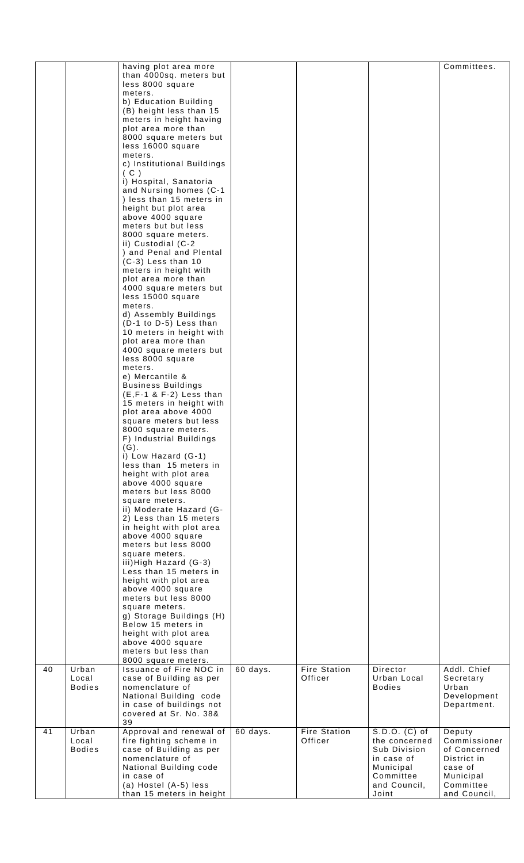|    |                                 | having plot area more<br>than 4000sq. meters but<br>less 8000 square<br>meters.<br>b) Education Building<br>(B) height less than 15<br>meters in height having<br>plot area more than<br>8000 square meters but<br>less 16000 square<br>meters.<br>c) Institutional Buildings<br>(C)<br>i) Hospital, Sanatoria<br>and Nursing homes (C-1<br>) less than 15 meters in<br>height but plot area<br>above 4000 square<br>meters but but less<br>8000 square meters.<br>ii) Custodial (C-2<br>) and Penal and Plental<br>$(C-3)$ Less than 10<br>meters in height with<br>plot area more than<br>4000 square meters but<br>less 15000 square<br>meters.<br>d) Assembly Buildings<br>(D-1 to D-5) Less than<br>10 meters in height with<br>plot area more than<br>4000 square meters but<br>less 8000 square<br>meters.<br>e) Mercantile &<br><b>Business Buildings</b><br>$(E, F-1 \& F-2)$ Less than<br>15 meters in height with<br>plot area above 4000<br>square meters but less<br>8000 square meters.<br>F) Industrial Buildings<br>$(G)$ .<br>i) Low Hazard (G-1)<br>less than 15 meters in<br>height with plot area<br>above 4000 square<br>meters but less 8000<br>square meters.<br>ii) Moderate Hazard (G-<br>2) Less than 15 meters<br>in height with plot area<br>above 4000 square<br>meters but less 8000<br>square meters.<br>iii) High Hazard (G-3)<br>Less than 15 meters in<br>height with plot area<br>above 4000 square<br>meters but less 8000<br>square meters.<br>g) Storage Buildings (H)<br>Below 15 meters in<br>height with plot area<br>above 4000 square |          |                                |                                                                                                                 | Committees.                                                                                                |
|----|---------------------------------|----------------------------------------------------------------------------------------------------------------------------------------------------------------------------------------------------------------------------------------------------------------------------------------------------------------------------------------------------------------------------------------------------------------------------------------------------------------------------------------------------------------------------------------------------------------------------------------------------------------------------------------------------------------------------------------------------------------------------------------------------------------------------------------------------------------------------------------------------------------------------------------------------------------------------------------------------------------------------------------------------------------------------------------------------------------------------------------------------------------------------------------------------------------------------------------------------------------------------------------------------------------------------------------------------------------------------------------------------------------------------------------------------------------------------------------------------------------------------------------------------------------------------------------------------------------------------------|----------|--------------------------------|-----------------------------------------------------------------------------------------------------------------|------------------------------------------------------------------------------------------------------------|
|    |                                 | meters but less than<br>8000 square meters.                                                                                                                                                                                                                                                                                                                                                                                                                                                                                                                                                                                                                                                                                                                                                                                                                                                                                                                                                                                                                                                                                                                                                                                                                                                                                                                                                                                                                                                                                                                                      |          |                                |                                                                                                                 |                                                                                                            |
| 40 | Urban<br>Local<br><b>Bodies</b> | Issuance of Fire NOC in<br>case of Building as per<br>nomenclature of<br>National Building code<br>in case of buildings not<br>covered at Sr. No. 38&<br>39                                                                                                                                                                                                                                                                                                                                                                                                                                                                                                                                                                                                                                                                                                                                                                                                                                                                                                                                                                                                                                                                                                                                                                                                                                                                                                                                                                                                                      | 60 days. | <b>Fire Station</b><br>Officer | Director<br>Urban Local<br><b>Bodies</b>                                                                        | Addl. Chief<br>Secretary<br>Urban<br>Development<br>Department.                                            |
| 41 | Urban<br>Local<br><b>Bodies</b> | Approval and renewal of<br>fire fighting scheme in<br>case of Building as per<br>nomenclature of<br>National Building code<br>in case of<br>(a) Hostel (A-5) less<br>than 15 meters in height                                                                                                                                                                                                                                                                                                                                                                                                                                                                                                                                                                                                                                                                                                                                                                                                                                                                                                                                                                                                                                                                                                                                                                                                                                                                                                                                                                                    | 60 days. | <b>Fire Station</b><br>Officer | S.D.O. (C) of<br>the concerned<br>Sub Division<br>in case of<br>Municipal<br>Committee<br>and Council,<br>Joint | Deputy<br>Commissioner<br>of Concerned<br>District in<br>case of<br>Municipal<br>Committee<br>and Council, |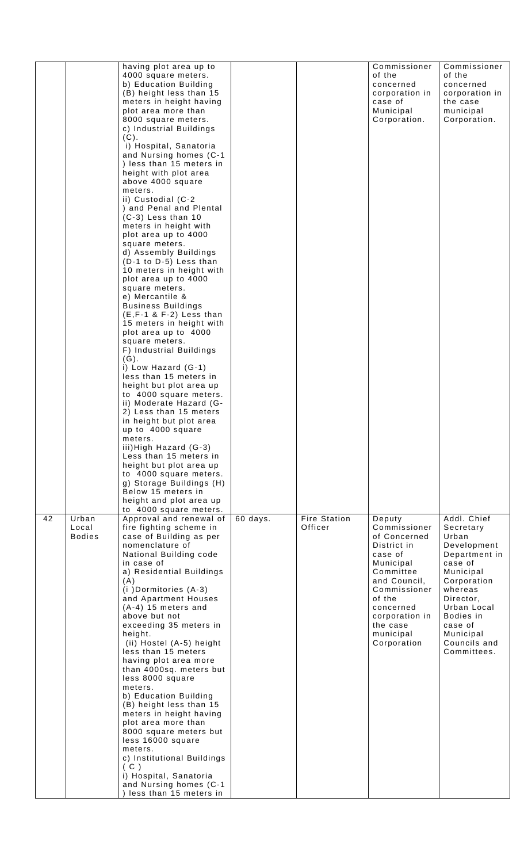|    |                                 | having plot area up to<br>4000 square meters.<br>b) Education Building<br>(B) height less than 15<br>meters in height having<br>plot area more than<br>8000 square meters.<br>c) Industrial Buildings<br>(C).<br>i) Hospital, Sanatoria<br>and Nursing homes (C-1<br>) less than 15 meters in<br>height with plot area<br>above 4000 square<br>meters.<br>ii) Custodial (C-2<br>) and Penal and Plental<br>$(C-3)$ Less than 10<br>meters in height with<br>plot area up to 4000<br>square meters.<br>d) Assembly Buildings<br>(D-1 to D-5) Less than<br>10 meters in height with                                                                                                                                                    |          |                         | Commissioner<br>of the<br>concerned<br>corporation in<br>case of<br>Municipal<br>Corporation.                                                                                                               | Commissioner<br>of the<br>concerned<br>corporation in<br>the case<br>municipal<br>Corporation.                                                                                                                      |
|----|---------------------------------|--------------------------------------------------------------------------------------------------------------------------------------------------------------------------------------------------------------------------------------------------------------------------------------------------------------------------------------------------------------------------------------------------------------------------------------------------------------------------------------------------------------------------------------------------------------------------------------------------------------------------------------------------------------------------------------------------------------------------------------|----------|-------------------------|-------------------------------------------------------------------------------------------------------------------------------------------------------------------------------------------------------------|---------------------------------------------------------------------------------------------------------------------------------------------------------------------------------------------------------------------|
|    |                                 | plot area up to 4000<br>square meters.<br>e) Mercantile &<br><b>Business Buildings</b><br>$(E, F-1 \& F-2)$ Less than<br>15 meters in height with<br>plot area up to 4000<br>square meters.<br>F) Industrial Buildings<br>$(G)$ .<br>i) Low Hazard (G-1)<br>less than 15 meters in<br>height but plot area up<br>to 4000 square meters.<br>ii) Moderate Hazard (G-<br>2) Less than 15 meters<br>in height but plot area<br>up to 4000 square<br>meters.<br>iii) High Hazard (G-3)<br>Less than 15 meters in<br>height but plot area up<br>to 4000 square meters.<br>g) Storage Buildings (H)<br>Below 15 meters in<br>height and plot area up<br>to 4000 square meters.                                                              |          |                         |                                                                                                                                                                                                             |                                                                                                                                                                                                                     |
| 42 | Urban<br>Local<br><b>Bodies</b> | Approval and renewal of<br>fire fighting scheme in<br>case of Building as per<br>nomenclature of<br>National Building code<br>in case of<br>a) Residential Buildings<br>(A)<br>(i) Dormitories (A-3)<br>and Apartment Houses<br>$(A-4)$ 15 meters and<br>above but not<br>exceeding 35 meters in<br>height.<br>(ii) Hostel (A-5) height<br>less than 15 meters<br>having plot area more<br>than 4000sq. meters but<br>less 8000 square<br>meters.<br>b) Education Building<br>(B) height less than 15<br>meters in height having<br>plot area more than<br>8000 square meters but<br>less 16000 square<br>meters.<br>c) Institutional Buildings<br>(C)<br>i) Hospital, Sanatoria<br>and Nursing homes (C-1<br>less than 15 meters in | 60 days. | Fire Station<br>Officer | Deputy<br>Commissioner<br>of Concerned<br>District in<br>case of<br>Municipal<br>Committee<br>and Council,<br>Commissioner<br>of the<br>concerned<br>corporation in<br>the case<br>municipal<br>Corporation | Addl. Chief<br>Secretary<br>Urban<br>Development<br>Department in<br>case of<br>Municipal<br>Corporation<br>whereas<br>Director,<br>Urban Local<br>Bodies in<br>case of<br>Municipal<br>Councils and<br>Committees. |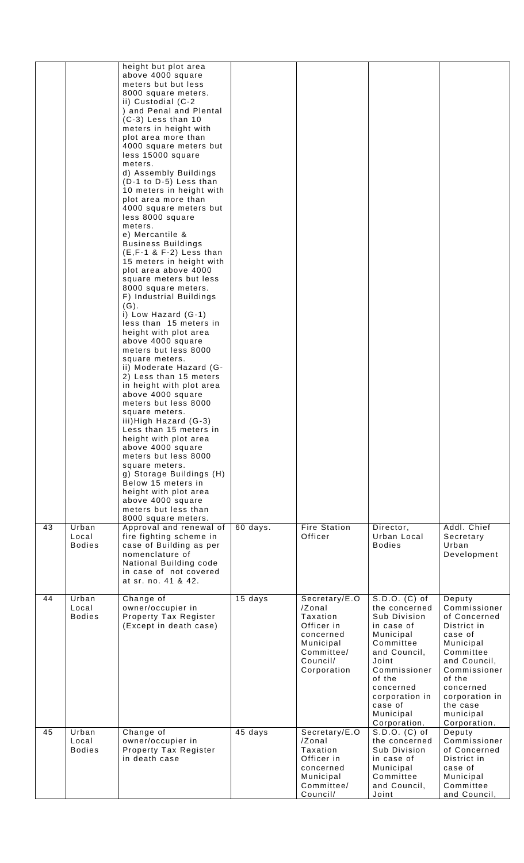|    |                                 | height but plot area<br>above 4000 square<br>meters but but less<br>8000 square meters.<br>ii) Custodial (C-2<br>) and Penal and Plental<br>$(C-3)$ Less than 10<br>meters in height with<br>plot area more than<br>4000 square meters but<br>less 15000 square<br>meters.<br>d) Assembly Buildings<br>(D-1 to D-5) Less than<br>10 meters in height with<br>plot area more than<br>4000 square meters but<br>less 8000 square<br>meters.<br>e) Mercantile &<br><b>Business Buildings</b><br>$(E, F-1 \& F-2)$ Less than<br>15 meters in height with<br>plot area above 4000<br>square meters but less<br>8000 square meters.<br>F) Industrial Buildings<br>$(G)$ .<br>i) Low Hazard (G-1)<br>less than 15 meters in<br>height with plot area<br>above 4000 square<br>meters but less 8000<br>square meters.<br>ii) Moderate Hazard (G-<br>2) Less than 15 meters<br>in height with plot area<br>above 4000 square<br>meters but less 8000<br>square meters.<br>iii) High Hazard (G-3)<br>Less than 15 meters in<br>height with plot area<br>above 4000 square<br>meters but less 8000<br>square meters.<br>g) Storage Buildings (H)<br>Below 15 meters in<br>height with plot area<br>above 4000 square<br>meters but less than<br>8000 square meters. |          |                                                                                                                      |                                                                                                                                                                                                                  |                                                                                                                                                                                                              |
|----|---------------------------------|---------------------------------------------------------------------------------------------------------------------------------------------------------------------------------------------------------------------------------------------------------------------------------------------------------------------------------------------------------------------------------------------------------------------------------------------------------------------------------------------------------------------------------------------------------------------------------------------------------------------------------------------------------------------------------------------------------------------------------------------------------------------------------------------------------------------------------------------------------------------------------------------------------------------------------------------------------------------------------------------------------------------------------------------------------------------------------------------------------------------------------------------------------------------------------------------------------------------------------------------------------|----------|----------------------------------------------------------------------------------------------------------------------|------------------------------------------------------------------------------------------------------------------------------------------------------------------------------------------------------------------|--------------------------------------------------------------------------------------------------------------------------------------------------------------------------------------------------------------|
| 43 | Urban<br>Local<br><b>Bodies</b> | Approval and renewal of<br>fire fighting scheme in<br>case of Building as per<br>nomenclature of<br>National Building code<br>in case of not covered<br>at sr. no. 41 & 42.                                                                                                                                                                                                                                                                                                                                                                                                                                                                                                                                                                                                                                                                                                                                                                                                                                                                                                                                                                                                                                                                             | 60 days. | <b>Fire Station</b><br>Officer                                                                                       | Director,<br>Urban Local<br><b>Bodies</b>                                                                                                                                                                        | Addl. Chief<br>Secretary<br>Urban<br>Development                                                                                                                                                             |
| 44 | Urban<br>Local<br><b>Bodies</b> | Change of<br>owner/occupier in<br>Property Tax Register<br>(Except in death case)                                                                                                                                                                                                                                                                                                                                                                                                                                                                                                                                                                                                                                                                                                                                                                                                                                                                                                                                                                                                                                                                                                                                                                       | 15 days  | Secretary/E.O<br>/Zonal<br>Taxation<br>Officer in<br>concerned<br>Municipal<br>Committee/<br>Council/<br>Corporation | S.D.O. (C) of<br>the concerned<br>Sub Division<br>in case of<br>Municipal<br>Committee<br>and Council,<br>Joint<br>Commissioner<br>of the<br>concerned<br>corporation in<br>case of<br>Municipal<br>Corporation. | Deputy<br>Commissioner<br>of Concerned<br>District in<br>case of<br>Municipal<br>Committee<br>and Council,<br>Commissioner<br>of the<br>concerned<br>corporation in<br>the case<br>municipal<br>Corporation. |
| 45 | Urban<br>Local<br><b>Bodies</b> | Change of<br>owner/occupier in<br>Property Tax Register<br>in death case                                                                                                                                                                                                                                                                                                                                                                                                                                                                                                                                                                                                                                                                                                                                                                                                                                                                                                                                                                                                                                                                                                                                                                                | 45 days  | Secretary/E.O<br>/Zonal<br>Taxation<br>Officer in<br>concerned<br>Municipal<br>Committee/<br>Council/                | S.D.O. (C) of<br>the concerned<br>Sub Division<br>in case of<br>Municipal<br>Committee<br>and Council,<br>Joint                                                                                                  | Deputy<br>Commissioner<br>of Concerned<br>District in<br>case of<br>Municipal<br>Committee<br>and Council,                                                                                                   |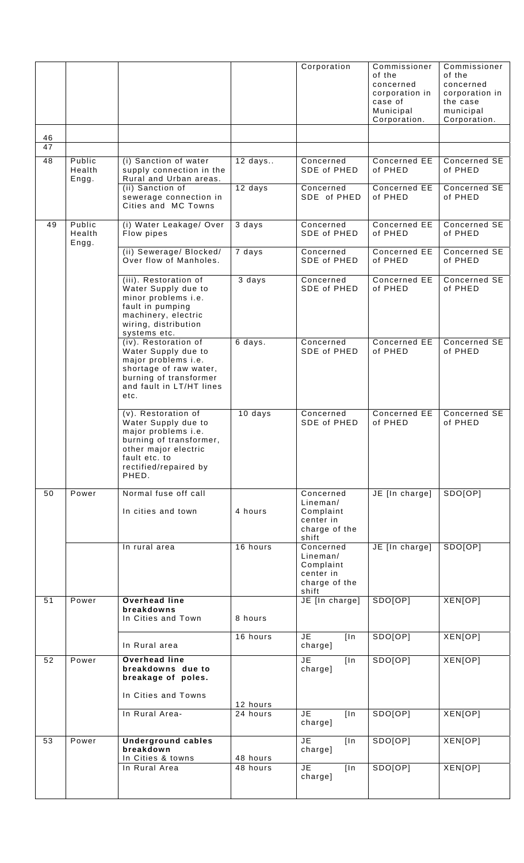|    |                           |                                                                                                                                                                         |                      | Corporation                                                               | Commissioner<br>of the<br>concerned<br>corporation in<br>case of<br>Municipal<br>Corporation. | Commissioner<br>of the<br>concerned<br>corporation in<br>the case<br>municipal<br>Corporation. |
|----|---------------------------|-------------------------------------------------------------------------------------------------------------------------------------------------------------------------|----------------------|---------------------------------------------------------------------------|-----------------------------------------------------------------------------------------------|------------------------------------------------------------------------------------------------|
| 46 |                           |                                                                                                                                                                         |                      |                                                                           |                                                                                               |                                                                                                |
| 47 |                           |                                                                                                                                                                         |                      |                                                                           |                                                                                               |                                                                                                |
| 48 | Public<br>Health<br>Engg. | (i) Sanction of water<br>supply connection in the<br>Rural and Urban areas.                                                                                             | $12$ days            | Concerned<br>SDE of PHED                                                  | Concerned EE<br>of PHED                                                                       | Concerned SE<br>of PHED                                                                        |
|    |                           | (ii) Sanction of<br>sewerage connection in<br>Cities and MC Towns                                                                                                       | 12 days              | Concerned<br>SDE of PHED                                                  | Concerned EE<br>of PHED                                                                       | Concerned SE<br>of PHED                                                                        |
| 49 | Public<br>Health<br>Engg. | (i) Water Leakage/ Over<br>Flow pipes                                                                                                                                   | 3 days               | Concerned<br>SDE of PHED                                                  | Concerned EE<br>of PHED                                                                       | Concerned SE<br>of PHED                                                                        |
|    |                           | (ii) Sewerage/ Blocked/<br>Over flow of Manholes.                                                                                                                       | 7 days               | Concerned<br>SDE of PHED                                                  | Concerned EE<br>of PHED                                                                       | Concerned SE<br>of PHED                                                                        |
|    |                           | (iii). Restoration of<br>Water Supply due to<br>minor problems i.e.<br>fault in pumping<br>machinery, electric<br>wiring, distribution<br>systems etc.                  | 3 days               | Concerned<br>SDE of PHED                                                  | Concerned EE<br>of PHED                                                                       | Concerned SE<br>of PHED                                                                        |
|    |                           | (iv). Restoration of<br>Water Supply due to<br>major problems i.e.<br>shortage of raw water,<br>burning of transformer<br>and fault in LT/HT lines<br>etc.              | 6 days.              | Concerned<br>SDE of PHED                                                  | <b>Concerned EE</b><br>of PHED                                                                | Concerned SE<br>of PHED                                                                        |
|    |                           | (v). Restoration of<br>Water Supply due to<br>major problems i.e.<br>burning of transformer,<br>other major electric<br>fault etc. to<br>rectified/repaired by<br>PHED. | 10 days              | Concerned<br>SDE of PHED                                                  | <b>Concerned EE</b><br>of PHED                                                                | Concerned SE<br>of PHED                                                                        |
| 50 | Power                     | Normal fuse off call<br>In cities and town                                                                                                                              | 4 hours              | Concerned<br>Linear/<br>Complaint<br>center in<br>charge of the<br>shift  | JE [In charge]                                                                                | SDO[OP]                                                                                        |
|    |                           | In rural area                                                                                                                                                           | 16 hours             | Concerned<br>Lineman/<br>Complaint<br>center in<br>charge of the<br>shift | JE [In charge]                                                                                | SDO[OP]                                                                                        |
| 51 | Power                     | <b>Overhead line</b><br>breakdowns<br>In Cities and Town                                                                                                                | 8 hours              | JE [In charge]                                                            | SDO[OP]                                                                                       | XEN[OP]                                                                                        |
|    |                           | In Rural area                                                                                                                                                           | 16 hours             | <b>JE</b><br>[ln]<br>charge]                                              | SDO[OP]                                                                                       | XEN[OP]                                                                                        |
| 52 | Power                     | <b>Overhead line</b><br>breakdowns due to<br>breakage of poles.<br>In Cities and Towns                                                                                  |                      | JE<br>$\overline{\ln}$<br>charge]                                         | SDO[OP]                                                                                       | XEN[OP]                                                                                        |
|    |                           | In Rural Area-                                                                                                                                                          | 12 hours<br>24 hours | <b>JE</b><br>[ln]<br>charge]                                              | SDO[OP]                                                                                       | XEN[OP]                                                                                        |
| 53 | Power                     | <b>Underground cables</b><br>breakdown<br>In Cities & towns                                                                                                             | 48 hours             | JE.<br>$\lfloor \ln \rfloor$<br>charge]                                   | SDO[OP]                                                                                       | XEN[OP]                                                                                        |
|    |                           | In Rural Area                                                                                                                                                           | 48 hours             | $\overline{\mathsf{JE}}$<br>[ln]<br>charge]                               | SDO[OP]                                                                                       | XEN[OP]                                                                                        |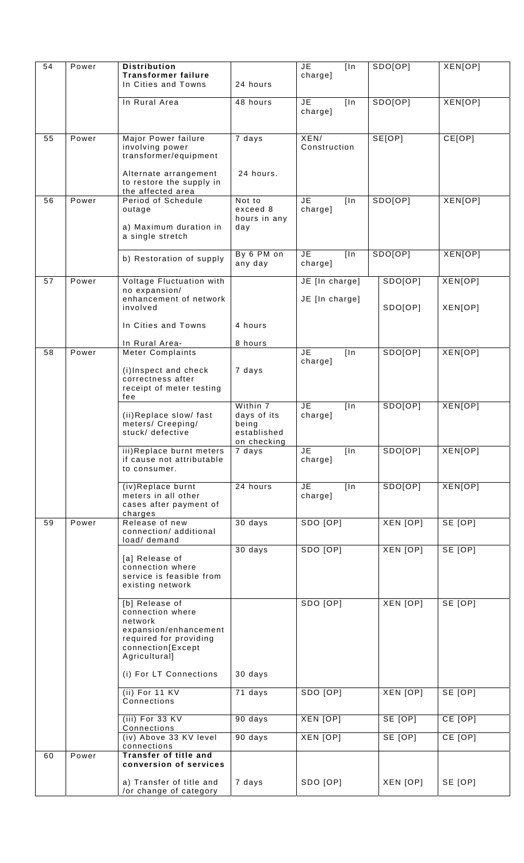| 54 | Power | <b>Distribution</b>                                                                |                                                                | <b>JE</b><br>[ln]                 | SDO[OP]         | XEN[OP]        |
|----|-------|------------------------------------------------------------------------------------|----------------------------------------------------------------|-----------------------------------|-----------------|----------------|
|    |       | <b>Transformer failure</b><br>In Cities and Towns                                  | 24 hours                                                       | charge]                           |                 |                |
|    |       | In Rural Area                                                                      | 48 hours                                                       | <b>JE</b><br>[ln]<br>charge]      | SDO[OP]         | XEN[OP]        |
| 55 | Power | Major Power failure<br>involving power<br>transformer/equipment                    | 7 days                                                         | XEN/<br>Construction              | SE[OP]          | CE[OP]         |
|    |       | Alternate arrangement<br>to restore the supply in<br>the affected area             | 24 hours.                                                      |                                   |                 |                |
| 56 | Power | Period of Schedule<br>outage<br>a) Maximum duration in                             | Not to<br>exceed 8<br>hours in any<br>day                      | <b>JE</b><br>[ln]<br>charge]      | SDO[OP]         | XEN[OP]        |
|    |       | a single stretch                                                                   |                                                                |                                   |                 |                |
|    |       | b) Restoration of supply                                                           | By 6 PM on<br>any day                                          | JE<br>$\overline{\ln}$<br>charge] | SDO[OP]         | <b>XEN[OP]</b> |
| 57 | Power | Voltage Fluctuation with                                                           |                                                                | JE [In charge]                    | SDO[OP]         | XEN[OP]        |
|    |       | no expansion/<br>enhancement of network<br>involved                                |                                                                | JE [In charge]                    | SDO[OP]         | XEN[OP]        |
|    |       | In Cities and Towns                                                                | 4 hours                                                        |                                   |                 |                |
|    |       | In Rural Area-                                                                     | 8 hours                                                        |                                   |                 |                |
| 58 | Power | <b>Meter Complaints</b>                                                            |                                                                | <b>JE</b><br>[ln]<br>charge]      | SDO[OP]         | XEN[OP]        |
|    |       | (i)Inspect and check<br>correctness after<br>receipt of meter testing<br>fee       | 7 days                                                         |                                   |                 |                |
|    |       | (ii)Replace slow/ fast<br>meters/ Creeping/<br>stuck/ defective                    | Within 7<br>days of its<br>being<br>established<br>on checkina | <b>JE</b><br>[ln]<br>charge]      | SDO[OP]         | XEN[OP]        |
|    |       | iii)Replace burnt meters<br>if cause not attributable<br>to consumer.              | 7 days                                                         | JE<br>[ln]<br>charge]             | SDO[OP]         | XEN[OP]        |
|    |       | (iv)Replace burnt<br>meters in all other<br>cases after payment of<br>charges      | 24 hours                                                       | JE<br>[ln]<br>charge]             | SDO[OP]         | XEN[OP]        |
| 59 | Power | Release of new<br>connection/additional<br>load/ demand                            | 30 days                                                        | SDO [OP]                          | XEN [OP]        | SE [OP]        |
|    |       | [a] Release of<br>connection where<br>service is feasible from<br>existing network | $30$ days                                                      | SDO [OP]                          | <b>XEN [OP]</b> | SE [OP]        |
|    |       | [b] Release of<br>connection where<br>network<br>expansion/enhancement             |                                                                | SDO [OP]                          | XEN [OP]        | SE [OP]        |
|    |       | required for providing<br>connection[Except<br>Agricultural]                       |                                                                |                                   |                 |                |
|    |       | (i) For LT Connections                                                             | 30 days                                                        |                                   |                 |                |
|    |       | (ii) For 11 $KV$<br>Connections                                                    | 71 days                                                        | SDO [OP]                          | XEN [OP]        | SE [OP]        |
|    |       | $(iii)$ For 33 KV<br>Connections                                                   | 90 days                                                        | XEN [OP]                          | SE [OP]         | CE [OP]        |
|    |       | (iv) Above 33 KV level<br>connections                                              | 90 days                                                        | <b>XEN [OP]</b>                   | SE [OP]         | CE [OP]        |
| 60 | Power | <b>Transfer of title and</b><br>conversion of services                             |                                                                |                                   |                 |                |
|    |       | a) Transfer of title and<br>/or change of category                                 | 7 days                                                         | SDO [OP]                          | XEN [OP]        | SE [OP]        |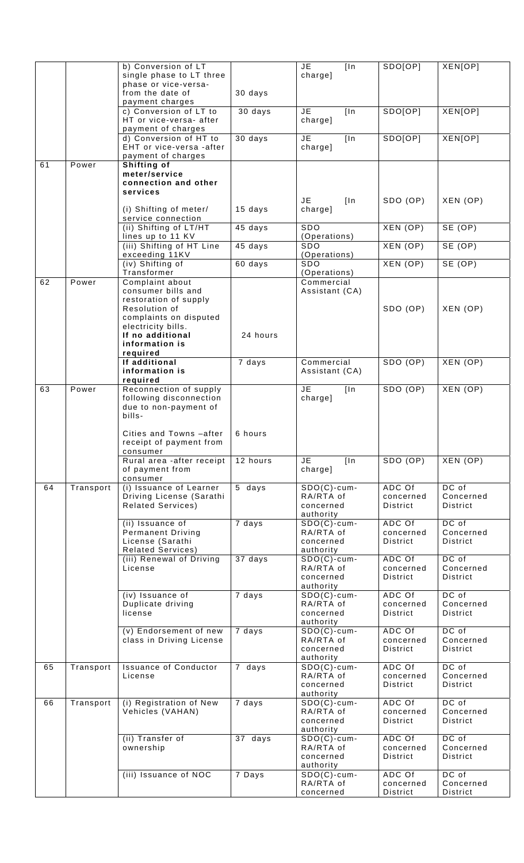|    |           | b) Conversion of LT          |                     | JE.<br>[ln]                | SDO[OP]               | XEN[OP]               |
|----|-----------|------------------------------|---------------------|----------------------------|-----------------------|-----------------------|
|    |           | single phase to LT three     |                     | charge]                    |                       |                       |
|    |           | phase or vice-versa-         |                     |                            |                       |                       |
|    |           | from the date of             | 30 days             |                            |                       |                       |
|    |           | payment charges              |                     |                            |                       |                       |
|    |           | c) Conversion of LT to       | 30 days             | JE.<br>[ln]                | SDO[OP]               | <b>XEN[OP]</b>        |
|    |           | HT or vice-versa- after      |                     | charge]                    |                       |                       |
|    |           | payment of charges           |                     |                            |                       |                       |
|    |           | d) Conversion of HT to       |                     | $\overline{\mathsf{JE}}$   | SDO[OP]               | XEN[OP]               |
|    |           |                              | 30 days             | [ln]                       |                       |                       |
|    |           | EHT or vice-versa -after     |                     | charge]                    |                       |                       |
|    |           | payment of charges           |                     |                            |                       |                       |
| 61 | Power     | Shifting of                  |                     |                            |                       |                       |
|    |           | meter/service                |                     |                            |                       |                       |
|    |           | connection and other         |                     |                            |                       |                       |
|    |           | services                     |                     |                            |                       |                       |
|    |           |                              |                     | JE<br>[ln]                 | SDO (OP)              | XEN (OP)              |
|    |           | (i) Shifting of meter/       | 15 days             | charge]                    |                       |                       |
|    |           | service connection           |                     |                            |                       |                       |
|    |           | (ii) Shifting of LT/HT       | 45 days             | <b>SDO</b>                 | XEN(OP)               | SE(OP)                |
|    |           | lines up to 11 KV            |                     | (Operations)               |                       |                       |
|    |           | (iii) Shifting of HT Line    | 45 days             | <b>SDO</b>                 | XEN (OP)              | SE(OP)                |
|    |           | exceeding 11KV               |                     | (Operations)               |                       |                       |
|    |           | (iv) Shifting of             | 60 days             | <b>SDO</b>                 | XEN(OP)               | SE (OP)               |
|    |           | Transformer                  |                     | (Operations)               |                       |                       |
| 62 | Power     | Complaint about              |                     | Commercial                 |                       |                       |
|    |           | consumer bills and           |                     | Assistant (CA)             |                       |                       |
|    |           | restoration of supply        |                     |                            |                       |                       |
|    |           | Resolution of                |                     |                            | SDO (OP)              | XEN (OP)              |
|    |           | complaints on disputed       |                     |                            |                       |                       |
|    |           | electricity bills.           |                     |                            |                       |                       |
|    |           | If no additional             | 24 hours            |                            |                       |                       |
|    |           | information is               |                     |                            |                       |                       |
|    |           | required                     |                     |                            |                       |                       |
|    |           | If additional                | 7 days              | Commercial                 | SDO(OP)               | XEN(OP)               |
|    |           | information is               |                     |                            |                       |                       |
|    |           | required                     |                     | Assistant (CA)             |                       |                       |
| 63 | Power     |                              |                     | JE                         |                       |                       |
|    |           | Reconnection of supply       |                     | [ln]                       | SDO(OP)               | XEN (OP)              |
|    |           | following disconnection      |                     | charge]                    |                       |                       |
|    |           | due to non-payment of        |                     |                            |                       |                       |
|    |           | bills-                       |                     |                            |                       |                       |
|    |           |                              |                     |                            |                       |                       |
|    |           | Cities and Towns -after      | 6 hours             |                            |                       |                       |
|    |           | receipt of payment from      |                     |                            |                       |                       |
|    |           | consumer                     |                     |                            |                       |                       |
|    |           | Rural area -after receipt    | 12 hours            | JE.<br>[ln]                | SDO(OP)               | XEN(OP)               |
|    |           | of payment from              |                     | charge]                    |                       |                       |
|    |           | consumer                     |                     |                            |                       |                       |
| 64 |           |                              |                     |                            |                       |                       |
|    | Transport | (i) Issuance of Learner      | $\overline{5}$ days | $SDO(C)$ -cum-             | ADC Of                | DC of                 |
|    |           | Driving License (Sarathi     |                     | RA/RTA of                  | concerned             | Concerned             |
|    |           | <b>Related Services)</b>     |                     | concerned                  | <b>District</b>       | District              |
|    |           |                              |                     | authority                  |                       |                       |
|    |           | (ii) Issuance of             | 7 days              | $SDO(C)$ -cum-             | ADC Of                | DC of                 |
|    |           | <b>Permanent Driving</b>     |                     | RA/RTA of                  | concerned             | Concerned             |
|    |           | License (Sarathi             |                     | concerned                  | District              | <b>District</b>       |
|    |           | <b>Related Services)</b>     |                     | authority                  |                       |                       |
|    |           | (iii) Renewal of Driving     | 37 days             | $SDO(C)$ -cum-             | ADC Of                | DC of                 |
|    |           | License                      |                     | RA/RTA of                  | concerned             | Concerned             |
|    |           |                              |                     | concerned                  | District              | District              |
|    |           |                              |                     | authority                  |                       |                       |
|    |           | (iv) Issuance of             | 7 days              | $SDO(C)$ -cum-             | ADC Of                | DC of                 |
|    |           |                              |                     | RA/RTA of                  | concerned             | Concerned             |
|    |           | Duplicate driving<br>license |                     | concerned                  | District              | District              |
|    |           |                              |                     | authority                  |                       |                       |
|    |           |                              |                     |                            | ADC Of                | DC of                 |
|    |           | (v) Endorsement of new       | 7 days              | $SDO(C)-cum-$<br>RA/RTA of |                       |                       |
|    |           | class in Driving License     |                     | concerned                  | concerned             | Concerned<br>District |
|    |           |                              |                     |                            | District              |                       |
|    |           |                              |                     | authority                  |                       | DC of                 |
| 65 | Transport | <b>Issuance of Conductor</b> | 7 days              | $SDO(C)-cum-$              | ADC Of                |                       |
|    |           | License                      |                     | RA/RTA of                  | concerned             | Concerned             |
|    |           |                              |                     | concerned                  | District              | District              |
|    |           |                              |                     | authority                  |                       |                       |
| 66 | Transport | (i) Registration of New      | 7 days              | $SDO(C)$ -cum-             | ADC Of                | DC of                 |
|    |           | Vehicles (VAHAN)             |                     | RA/RTA of                  | concerned             | Concerned             |
|    |           |                              |                     | concerned                  | District              | District              |
|    |           |                              |                     | authority                  |                       |                       |
|    |           | (ii) Transfer of             | 37 days             | $SDO(C)$ -cum-             | ADC Of                | $DC$ of               |
|    |           | ownership                    |                     | RA/RTA of                  | concerned             | Concerned             |
|    |           |                              |                     | concerned                  | District              | District              |
|    |           |                              |                     | authority                  |                       |                       |
|    |           | (iii) Issuance of NOC        | 7 Days              | $SDO(C)-cum-$              | ADC Of                | DC of                 |
|    |           |                              |                     | RA/RTA of<br>concerned     | concerned<br>District | Concerned<br>District |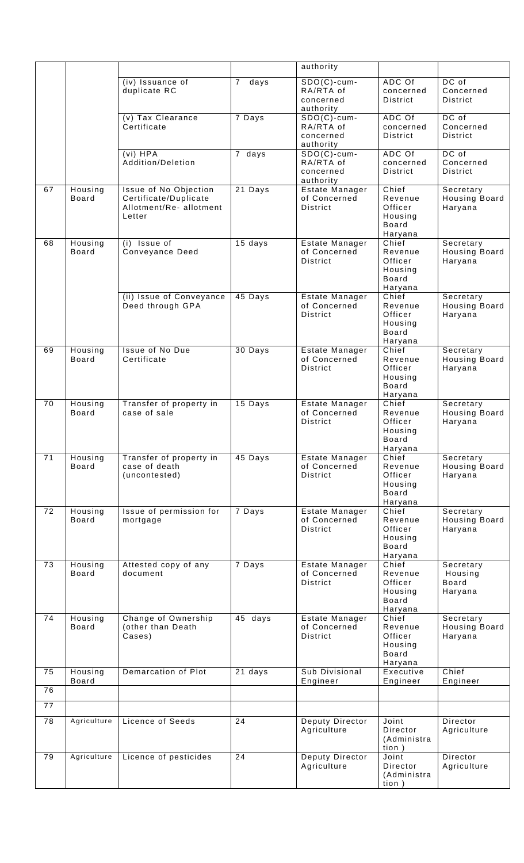|                 |                         |                                                                                    |                        | authority                                             |                                                                   |                                                 |
|-----------------|-------------------------|------------------------------------------------------------------------------------|------------------------|-------------------------------------------------------|-------------------------------------------------------------------|-------------------------------------------------|
|                 |                         | (iv) Issuance of<br>duplicate RC                                                   | $\overline{7}$<br>days | $SDO(C)-cum-$<br>RA/RTA of<br>concerned<br>authority  | ADC Of<br>concerned<br>District                                   | DC of<br>Concerned<br><b>District</b>           |
|                 |                         | (v) Tax Clearance<br>Certificate                                                   | 7 Days                 | $SDO(C)-cum-$<br>RA/RTA of<br>concerned<br>authority  | ADC Of<br>concerned<br>District                                   | DC of<br>Concerned<br><b>District</b>           |
|                 |                         | (vi) HPA<br>Addition/Deletion                                                      | 7 days                 | $SDO(C)$ -cum-<br>RA/RTA of<br>concerned<br>authority | ADC Of<br>concerned<br>District                                   | DC of<br>Concerned<br><b>District</b>           |
| 67              | Housing<br><b>Board</b> | Issue of No Objection<br>Certificate/Duplicate<br>Allotment/Re-allotment<br>Letter | 21 Days                | Estate Manager<br>of Concerned<br><b>District</b>     | Chief<br>Revenue<br>Officer<br>Housing<br><b>Board</b><br>Haryana | Secretary<br><b>Housing Board</b><br>Haryana    |
| 68              | Housing<br><b>Board</b> | $(i)$ Issue of<br>Conveyance Deed                                                  | 15 days                | Estate Manager<br>of Concerned<br>District            | Chief<br>Revenue<br>Officer<br>Housing<br><b>Board</b><br>Haryana | Secretary<br><b>Housing Board</b><br>Haryana    |
|                 |                         | (ii) Issue of Conveyance<br>Deed through GPA                                       | 45 Days                | Estate Manager<br>of Concerned<br>District            | Chief<br>Revenue<br>Officer<br>Housing<br><b>Board</b><br>Haryana | Secretary<br><b>Housing Board</b><br>Haryana    |
| 69              | Housing<br><b>Board</b> | <b>Issue of No Due</b><br>Certificate                                              | 30 Days                | Estate Manager<br>of Concerned<br><b>District</b>     | Chief<br>Revenue<br>Officer<br>Housing<br><b>Board</b><br>Haryana | Secretary<br><b>Housing Board</b><br>Haryana    |
| 70              | Housing<br><b>Board</b> | Transfer of property in<br>case of sale                                            | 15 Days                | Estate Manager<br>of Concerned<br><b>District</b>     | Chief<br>Revenue<br>Officer<br>Housing<br>Board<br>Haryana        | Secretary<br>Housing Board<br>Haryana           |
| 71              | Housing<br><b>Board</b> | Transfer of property in<br>case of death<br>(uncontested)                          | 45 Days                | Estate Manager<br>of Concerned<br><b>District</b>     | Chief<br>Revenue<br>Officer<br>Housing<br><b>Board</b><br>Haryana | Secretary<br>Housing Board<br>Haryana           |
| 72              | Housing<br><b>Board</b> | Issue of permission for<br>mortgage                                                | 7 Days                 | Estate Manager<br>of Concerned<br><b>District</b>     | Chief<br>Revenue<br>Officer<br>Housing<br><b>Board</b><br>Haryana | Secretary<br><b>Housing Board</b><br>Haryana    |
| 73              | Housing<br><b>Board</b> | Attested copy of any<br>document                                                   | 7 Days                 | Estate Manager<br>of Concerned<br><b>District</b>     | Chief<br>Revenue<br>Officer<br>Housing<br>Board<br>Haryana        | Secretary<br>Housing<br><b>Board</b><br>Haryana |
| 74              | Housing<br><b>Board</b> | Change of Ownership<br>(other than Death<br>Cases)                                 | 45 days                | Estate Manager<br>of Concerned<br>District            | Chief<br>Revenue<br>Officer<br>Housing<br><b>Board</b><br>Haryana | Secretary<br><b>Housing Board</b><br>Haryana    |
| 75<br>76        | Housing<br>Board        | <b>Demarcation of Plot</b>                                                         | 21 days                | Sub Divisional<br>Engineer                            | Executive<br>Engineer                                             | Chief<br>Engineer                               |
| $\overline{77}$ |                         |                                                                                    |                        |                                                       |                                                                   |                                                 |
| $\overline{78}$ | Agriculture             | Licence of Seeds                                                                   | 24                     | Deputy Director                                       | Joint                                                             | Director                                        |
|                 |                         |                                                                                    |                        | Agriculture                                           | Director<br>(Administra<br>tion)                                  | Agriculture                                     |
| 79              | Agriculture             | Licence of pesticides                                                              | 24                     | Deputy Director<br>Agriculture                        | Joint<br>Director<br>(Administra<br>tion )                        | Director<br>Agriculture                         |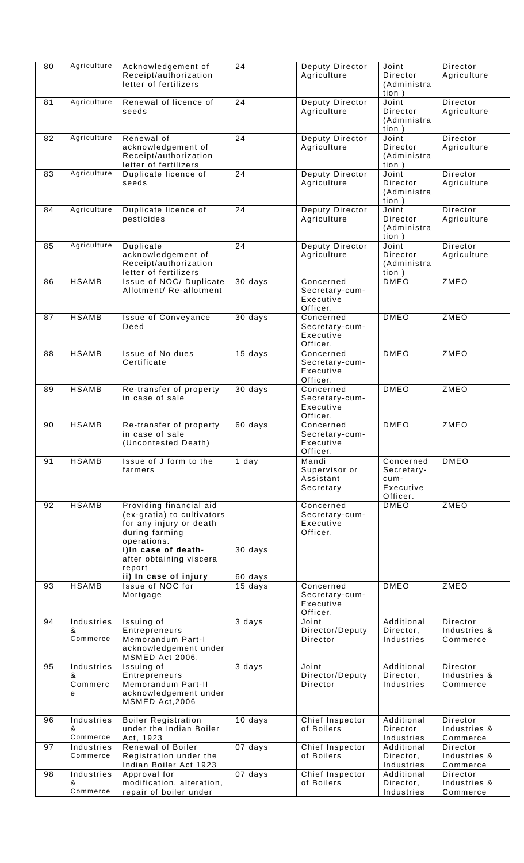| 80 | Agriculture                     | Acknowledgement of<br>Receipt/authorization<br>letter of fertilizers                                                                                                                                   | $\overline{24}$    | Deputy Director<br>Agriculture                       | Joint<br>Director<br>(Administra<br>tion)                | Director<br>Agriculture              |
|----|---------------------------------|--------------------------------------------------------------------------------------------------------------------------------------------------------------------------------------------------------|--------------------|------------------------------------------------------|----------------------------------------------------------|--------------------------------------|
| 81 | Agriculture                     | Renewal of licence of<br>seeds                                                                                                                                                                         | 24                 | Deputy Director<br>Agriculture                       | Joint<br>Director<br>(Administra<br>tion)                | Director<br>Agriculture              |
| 82 | Agriculture                     | Renewal of<br>acknowledgement of<br>Receipt/authorization<br>letter of fertilizers                                                                                                                     | 24                 | Deputy Director<br>Agriculture                       | Joint<br>Director<br>(Administra<br>tion)                | Director<br>Agriculture              |
| 83 | Agriculture                     | Duplicate licence of<br>seeds                                                                                                                                                                          | 24                 | Deputy Director<br>Agriculture                       | Joint<br>Director<br>(Administra<br>tion)                | Director<br>Agriculture              |
| 84 | Agriculture                     | Duplicate licence of<br>pesticides                                                                                                                                                                     | $\overline{24}$    | Deputy Director<br>Agriculture                       | Joint<br>Director<br>(Administra<br>tion)                | Director<br>Agriculture              |
| 85 | Agriculture                     | Duplicate<br>acknowledgement of<br>Receipt/authorization<br>letter of fertilizers                                                                                                                      | 24                 | Deputy Director<br>Agriculture                       | Joint<br>Director<br>(Administra<br>tion)                | Director<br>Agriculture              |
| 86 | <b>HSAMB</b>                    | Issue of NOC/ Duplicate<br>Allotment/ Re-allotment                                                                                                                                                     | 30 days            | Concerned<br>Secretary-cum-<br>Executive<br>Officer. | DMEO                                                     | <b>ZMEO</b>                          |
| 87 | <b>HSAMB</b>                    | Issue of Conveyance<br>Deed                                                                                                                                                                            | 30 days            | Concerned<br>Secretary-cum-<br>Executive<br>Officer. | <b>DMEO</b>                                              | ZMEO                                 |
| 88 | <b>HSAMB</b>                    | Issue of No dues<br>Certificate                                                                                                                                                                        | 15 days            | Concerned<br>Secretary-cum-<br>Executive<br>Officer. | <b>DMEO</b>                                              | ZMEO                                 |
| 89 | <b>HSAMB</b>                    | Re-transfer of property<br>in case of sale                                                                                                                                                             | 30 days            | Concerned<br>Secretary-cum-<br>Executive<br>Officer. | <b>DMEO</b>                                              | ZMEO                                 |
| 90 | <b>HSAMB</b>                    | Re-transfer of property<br>in case of sale<br>(Uncontested Death)                                                                                                                                      | 60 days            | Concerned<br>Secretary-cum-<br>Executive<br>Officer. | <b>DMEO</b>                                              | ZMEO                                 |
| 91 | <b>HSAMB</b>                    | Issue of J form to the<br>farmers                                                                                                                                                                      | $1$ day            | Mandi<br>Supervisor or<br>Assistant<br>Secretary     | Concerned<br>Secretary-<br>cum-<br>Executive<br>Officer. | <b>DMEO</b>                          |
| 92 | <b>HSAMB</b>                    | Providing financial aid<br>(ex-gratia) to cultivators<br>for any injury or death<br>during farming<br>operations.<br>i)In case of death-<br>after obtaining viscera<br>report<br>ii) In case of injury | 30 days<br>60 days | Concerned<br>Secretary-cum-<br>Executive<br>Officer. | <b>DMEO</b>                                              | <b>ZMEO</b>                          |
| 93 | <b>HSAMB</b>                    | Issue of NOC for<br>Mortgage                                                                                                                                                                           | 15 days            | Concerned<br>Secretary-cum-<br>Executive<br>Officer. | <b>DMEO</b>                                              | ZMEO                                 |
| 94 | Industries<br>&<br>Commerce     | Issuing of<br>Entrepreneurs<br>Memorandum Part-I<br>acknowledgement under<br>MSMED Act 2006.                                                                                                           | 3 days             | Joint<br>Director/Deputy<br>Director                 | Additional<br>Director,<br>Industries                    | Director<br>Industries &<br>Commerce |
| 95 | Industries<br>&<br>Commerc<br>е | Issuing of<br>Entrepreneurs<br>Memorandum Part-II<br>acknowledgement under<br>MSMED Act, 2006                                                                                                          | 3 days             | Joint<br>Director/Deputy<br>Director                 | Additional<br>Director,<br>Industries                    | Director<br>Industries &<br>Commerce |
| 96 | Industries<br>&<br>Commerce     | <b>Boiler Registration</b><br>under the Indian Boiler<br>Act, 1923                                                                                                                                     | 10 days            | Chief Inspector<br>of Boilers                        | Additional<br>Director<br>Industries                     | Director<br>Industries &<br>Commerce |
| 97 | Industries<br>Commerce          | <b>Renewal of Boiler</b><br>Registration under the<br>Indian Boiler Act 1923                                                                                                                           | 07 days            | Chief Inspector<br>of Boilers                        | Additional<br>Director,<br>Industries                    | Director<br>Industries &<br>Commerce |
| 98 | Industries<br>&<br>Commerce     | Approval for<br>modification, alteration,<br>repair of boiler under                                                                                                                                    | 07 days            | Chief Inspector<br>of Boilers                        | Additional<br>Director,<br>Industries                    | Director<br>Industries &<br>Commerce |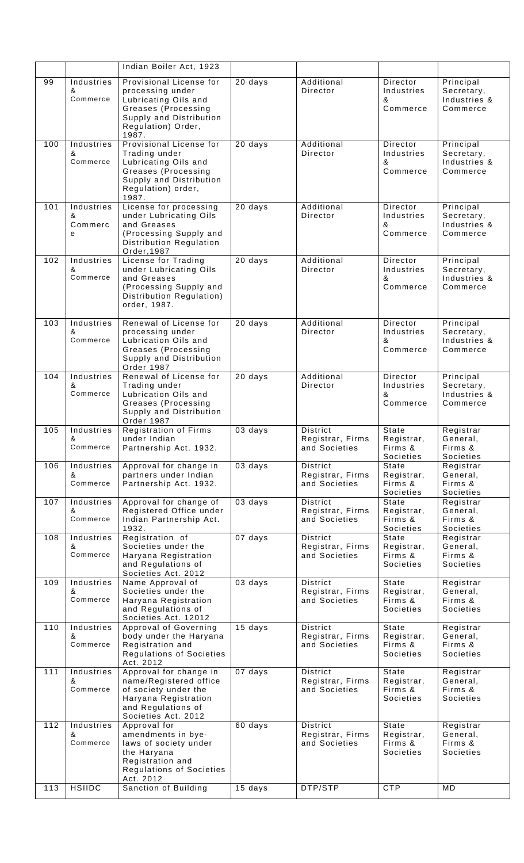|     |                                 | Indian Boiler Act, 1923                                                                                                                              |           |                                               |                                                    |                                                      |
|-----|---------------------------------|------------------------------------------------------------------------------------------------------------------------------------------------------|-----------|-----------------------------------------------|----------------------------------------------------|------------------------------------------------------|
| 99  | Industries<br>&<br>Commerce     | Provisional License for<br>processing under<br>Lubricating Oils and<br>Greases (Processing<br>Supply and Distribution<br>Regulation) Order,<br>1987. | 20 days   | Additional<br>Director                        | Director<br>Industries<br>&<br>Commerce            | Principal<br>Secretary,<br>Industries &<br>Commerce  |
| 100 | Industries<br>&<br>Commerce     | Provisional License for<br>Trading under<br>Lubricating Oils and<br>Greases (Processing<br>Supply and Distribution<br>Regulation) order,<br>1987.    | $20$ days | Additional<br>Director                        | Director<br>Industries<br>&<br>Commerce            | Principal<br>Secretary,<br>Industries &<br>Commerce  |
| 101 | Industries<br>&<br>Commerc<br>е | License for processing<br>under Lubricating Oils<br>and Greases<br>(Processing Supply and<br>Distribution Regulation<br>Order, 1987                  | 20 days   | Additional<br>Director                        | Director<br>Industries<br>&<br>Commerce            | Principal<br>Secretary,<br>Industries &<br>Commerce  |
| 102 | Industries<br>&<br>Commerce     | License for Trading<br>under Lubricating Oils<br>and Greases<br>(Processing Supply and<br>Distribution Regulation)<br>order, 1987.                   | 20 days   | Additional<br>Director                        | Director<br>Industries<br>&<br>Commerce            | Principal<br>Secretary,<br>Industries &<br>Commerce  |
| 103 | Industries<br>&<br>Commerce     | Renewal of License for<br>processing under<br>Lubrication Oils and<br>Greases (Processing<br>Supply and Distribution<br>Order 1987                   | 20 days   | Additional<br>Director                        | Director<br>Industries<br>&<br>Commerce            | Principal<br>Secretary,<br>Industries &<br>Commerce  |
| 104 | Industries<br>&<br>Commerce     | Renewal of License for<br>Trading under<br>Lubrication Oils and<br>Greases (Processing<br>Supply and Distribution<br>Order 1987                      | $20$ days | Additional<br>Director                        | Director<br>Industries<br>&<br>Commerce            | Principal<br>Secretary,<br>Industries &<br>Commerce  |
| 105 | Industries<br>&<br>Commerce     | <b>Registration of Firms</b><br>under Indian<br>Partnership Act. 1932.                                                                               | 03 days   | District<br>Registrar, Firms<br>and Societies | State<br>Registrar,<br>Firms &<br>Societies        | Registrar<br>General,<br>Firms &<br>Societies        |
| 106 | Industries<br>&<br>Commerce     | Approval for change in<br>partners under Indian<br>Partnership Act. 1932.                                                                            | 03 days   | District<br>Registrar, Firms<br>and Societies | State<br>Registrar,<br>Firms &<br>Societies        | Registrar<br>General,<br>Firms &<br>Societies        |
| 107 | Industries<br>&<br>Commerce     | Approval for change of<br>Registered Office under<br>Indian Partnership Act.<br>1932.                                                                | 03 days   | District<br>Registrar, Firms<br>and Societies | State<br>Registrar,<br>Firms &<br>Societies        | Registrar<br>General,<br>Firms &<br>Societies        |
| 108 | Industries<br>&<br>Commerce     | Registration of<br>Societies under the<br>Haryana Registration<br>and Regulations of<br>Societies Act. 2012                                          | 07 days   | District<br>Registrar, Firms<br>and Societies | State<br>Registrar,<br>Firms &<br><b>Societies</b> | Registrar<br>General,<br>Firms &<br><b>Societies</b> |
| 109 | Industries<br>&<br>Commerce     | Name Approval of<br>Societies under the<br>Haryana Registration<br>and Regulations of<br>Societies Act. 12012                                        | 03 days   | District<br>Registrar, Firms<br>and Societies | State<br>Registrar,<br>Firms &<br><b>Societies</b> | Registrar<br>General,<br>Firms &<br>Societies        |
| 110 | Industries<br>&<br>Commerce     | Approval of Governing<br>body under the Haryana<br>Registration and<br>Regulations of Societies<br>Act. 2012                                         | 15 days   | District<br>Registrar, Firms<br>and Societies | State<br>Registrar,<br>Firms &<br><b>Societies</b> | Registrar<br>General,<br>Firms &<br>Societies        |
| 111 | Industries<br>&<br>Commerce     | Approval for change in<br>name/Registered office<br>of society under the<br>Haryana Registration<br>and Regulations of<br>Societies Act. 2012        | 07 days   | District<br>Registrar, Firms<br>and Societies | State<br>Registrar,<br>Firms &<br><b>Societies</b> | Registrar<br>General,<br>Firms &<br>Societies        |
| 112 | Industries<br>&<br>Commerce     | Approval for<br>amendments in bye-<br>laws of society under<br>the Haryana<br>Registration and<br>Regulations of Societies<br>Act. 2012              | 60 days   | District<br>Registrar, Firms<br>and Societies | State<br>Registrar,<br>Firms &<br>Societies        | Registrar<br>General,<br>Firms &<br><b>Societies</b> |
| 113 | <b>HSIIDC</b>                   | Sanction of Building                                                                                                                                 | 15 days   | DTP/STP                                       | <b>CTP</b>                                         | MD                                                   |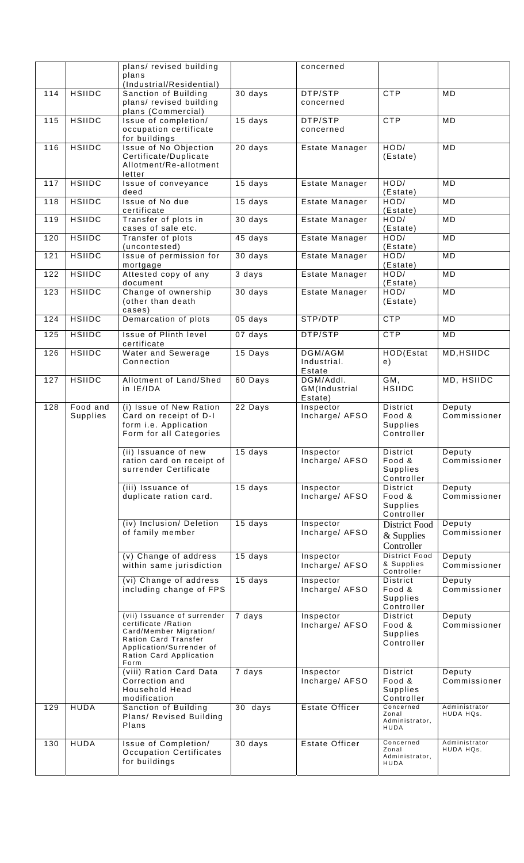|     |                      | plans/ revised building                                                                                                                                              |           | concerned                             |                                                     |                            |
|-----|----------------------|----------------------------------------------------------------------------------------------------------------------------------------------------------------------|-----------|---------------------------------------|-----------------------------------------------------|----------------------------|
|     |                      | plans<br>(Industrial/Residential)                                                                                                                                    |           |                                       |                                                     |                            |
| 114 | <b>HSIIDC</b>        | Sanction of Building<br>plans/ revised building<br>plans (Commercial)                                                                                                | 30 days   | DTP/STP<br>concerned                  | <b>CTP</b>                                          | MD                         |
| 115 | <b>HSIIDC</b>        | Issue of completion/<br>occupation certificate<br>for buildings                                                                                                      | $15$ days | DTP/STP<br>concerned                  | <b>CTP</b>                                          | MD                         |
| 116 | <b>HSIIDC</b>        | Issue of No Objection<br>Certificate/Duplicate<br>Allotment/Re-allotment<br>letter                                                                                   | 20 days   | Estate Manager                        | HOD/<br>(Estate)                                    | MD                         |
| 117 | <b>HSIIDC</b>        | Issue of conveyance<br>deed                                                                                                                                          | 15 days   | Estate Manager                        | HOD/<br>(Estate)                                    | MD                         |
| 118 | <b>HSIIDC</b>        | Issue of No due<br>certificate                                                                                                                                       | 15 days   | Estate Manager                        | HOD/<br>(Estate)                                    | MD                         |
| 119 | <b>HSIIDC</b>        | Transfer of plots in<br>cases of sale etc.                                                                                                                           | 30 days   | Estate Manager                        | HOD/<br>(Estate)                                    | MD                         |
| 120 | <b>HSIIDC</b>        | Transfer of plots<br>(uncontested)                                                                                                                                   | 45 days   | Estate Manager                        | HOD/<br>(Estate)                                    | MD                         |
| 121 | <b>HSIIDC</b>        | Issue of permission for<br>mortgage                                                                                                                                  | 30 days   | Estate Manager                        | HOD/<br>(Estate)                                    | MD                         |
| 122 | <b>HSIIDC</b>        | Attested copy of any<br>document                                                                                                                                     | 3 days    | Estate Manager                        | HOD/<br>(Estate)                                    | MD                         |
| 123 | <b>HSIIDC</b>        | Change of ownership<br>(other than death<br>cases)                                                                                                                   | $30$ days | Estate Manager                        | HOD/<br>(Estate)                                    | MD                         |
| 124 | <b>HSIIDC</b>        | Demarcation of plots                                                                                                                                                 | 05 days   | STP/DTP                               | <b>CTP</b>                                          | MD                         |
| 125 | <b>HSIIDC</b>        | Issue of Plinth level<br>certificate                                                                                                                                 | 07 days   | DTP/STP                               | <b>CTP</b>                                          | MD                         |
| 126 | <b>HSIIDC</b>        | Water and Sewerage<br>Connection                                                                                                                                     | 15 Days   | DGM/AGM<br>Industrial.<br>Estate      | HOD(Estat<br>e)                                     | MD, HSIIDC                 |
| 127 | <b>HSIIDC</b>        | Allotment of Land/Shed<br>in IE/IDA                                                                                                                                  | 60 Days   | DGM/Addl.<br>GM(Industrial<br>Estate) | GM,<br><b>HSIIDC</b>                                | MD, HSIIDC                 |
| 128 | Food and<br>Supplies | (i) Issue of New Ration<br>Card on receipt of D-I<br>form i.e. Application<br>Form for all Categories                                                                | 22 Days   | Inspector<br>Incharge/ AFSO           | District<br>Food &<br><b>Supplies</b><br>Controller | Deputy<br>Commissioner     |
|     |                      | (ii) Issuance of new<br>ration card on receipt of<br>surrender Certificate                                                                                           | 15 days   | Inspector<br>Incharge/ AFSO           | District<br>Food &<br>Supplies<br>Controller        | Deputy<br>Commissioner     |
|     |                      | (iii) Issuance of<br>duplicate ration card.                                                                                                                          | 15 days   | Inspector<br>Incharge/ AFSO           | District<br>Food &<br>Supplies<br>Controller        | Deputy<br>Commissioner     |
|     |                      | (iv) Inclusion/ Deletion<br>of family member                                                                                                                         | 15 days   | Inspector<br>Incharge/ AFSO           | District Food<br>& Supplies<br>Controller           | Deputy<br>Commissioner     |
|     |                      | (v) Change of address<br>within same jurisdiction                                                                                                                    | 15 days   | Inspector<br>Incharge/ AFSO           | <b>District Food</b><br>& Supplies<br>Controller    | Deputy<br>Commissioner     |
|     |                      | (vi) Change of address<br>including change of FPS                                                                                                                    | $15$ days | Inspector<br>Incharge/ AFSO           | District<br>Food &<br>Supplies<br>Controller        | Deputy<br>Commissioner     |
|     |                      | (vii) Issuance of surrender<br>certificate / Ration<br>Card/Member Migration/<br>Ration Card Transfer<br>Application/Surrender of<br>Ration Card Application<br>Form | 7 days    | Inspector<br>Incharge/ AFSO           | District<br>Food &<br>Supplies<br>Controller        | Deputy<br>Commissioner     |
|     |                      | (viii) Ration Card Data<br>Correction and<br><b>Household Head</b><br>modification                                                                                   | 7 days    | Inspector<br>Incharge/ AFSO           | District<br>Food &<br>Supplies<br>Controller        | Deputy<br>Commissioner     |
| 129 | <b>HUDA</b>          | Sanction of Building<br>Plans/ Revised Building<br>Plans                                                                                                             | 30 days   | Estate Officer                        | Concerned<br>Zonal<br>Administrator,<br>HUDA        | Administrator<br>HUDA HQs. |
| 130 | <b>HUDA</b>          | Issue of Completion/<br><b>Occupation Certificates</b><br>for buildings                                                                                              | 30 days   | Estate Officer                        | Concerned<br>Zonal<br>Administrator,<br>HUDA        | Administrator<br>HUDA HQs. |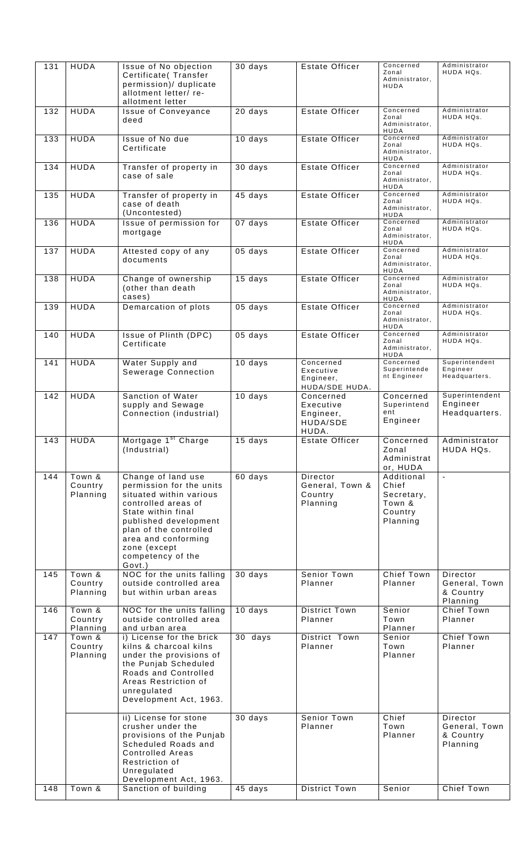| 131 | <b>HUDA</b>                   | Issue of No objection<br>Certificate(Transfer<br>permission)/ duplicate<br>allotment letter/re-<br>allotment letter                                                                                                                             | 30 days           | Estate Officer                                           | Concerned<br>Zonal<br>Administrator,<br>HUDA                       | Administrator<br>HUDA HQs.                         |
|-----|-------------------------------|-------------------------------------------------------------------------------------------------------------------------------------------------------------------------------------------------------------------------------------------------|-------------------|----------------------------------------------------------|--------------------------------------------------------------------|----------------------------------------------------|
| 132 | <b>HUDA</b>                   | <b>Issue of Conveyance</b><br>deed                                                                                                                                                                                                              | 20 days           | Estate Officer                                           | Concerned<br>Zonal<br>Administrator,<br>HUDA                       | Administrator<br>HUDA HQs.                         |
| 133 | <b>HUDA</b>                   | Issue of No due<br>Certificate                                                                                                                                                                                                                  | 10 days           | <b>Estate Officer</b>                                    | Concerned<br>Zonal<br>Administrator,<br><b>HUDA</b>                | Administrator<br>HUDA HQs.                         |
| 134 | <b>HUDA</b>                   | Transfer of property in<br>case of sale                                                                                                                                                                                                         | 30 days           | Estate Officer                                           | Concerned<br>Zonal<br>Administrator,<br>HUDA                       | Administrator<br>HUDA HQs.                         |
| 135 | <b>HUDA</b>                   | Transfer of property in<br>case of death<br>(Uncontested)                                                                                                                                                                                       | 45 days           | <b>Estate Officer</b>                                    | Concerned<br>Zonal<br>Administrator,<br>HUDA                       | Administrator<br>HUDA HQs.                         |
| 136 | <b>HUDA</b>                   | Issue of permission for<br>mortgage                                                                                                                                                                                                             | 07 days           | <b>Estate Officer</b>                                    | Concerned<br>Zonal<br>Administrator,<br>HUDA                       | Administrator<br>HUDA HQs.                         |
| 137 | <b>HUDA</b>                   | Attested copy of any<br>documents                                                                                                                                                                                                               | 05 days           | <b>Estate Officer</b>                                    | Concerned<br>Zonal<br>Administrator,<br>HUDA                       | Administrator<br>HUDA HQs.                         |
| 138 | <b>HUDA</b>                   | Change of ownership<br>(other than death<br>cases)                                                                                                                                                                                              | 15 days           | <b>Estate Officer</b>                                    | Concerned<br>Zonal<br>Administrator,<br>HUDA                       | Administrator<br>HUDA HQs.                         |
| 139 | <b>HUDA</b>                   | Demarcation of plots                                                                                                                                                                                                                            | $05$ days         | <b>Estate Officer</b>                                    | Concerned<br>Zonal<br>Administrator,<br>HUDA                       | Administrator<br>HUDA HQs.                         |
| 140 | <b>HUDA</b>                   | Issue of Plinth (DPC)<br>Certificate                                                                                                                                                                                                            | 05 days           | Estate Officer                                           | Concerned<br>Zonal<br>Administrator,<br>HUDA                       | Administrator<br>HUDA HQs.                         |
| 141 | <b>HUDA</b>                   | Water Supply and<br>Sewerage Connection                                                                                                                                                                                                         | 10 days           | Concerned<br>Executive<br>Engineer,<br>HUDA/SDE HUDA.    | Concerned<br>Superintende<br>nt Engineer                           | Superintendent<br>Engineer<br>Headquarters.        |
| 142 | <b>HUDA</b>                   | Sanction of Water<br>supply and Sewage<br>Connection (industrial)                                                                                                                                                                               | 10 days           | Concerned<br>Executive<br>Engineer,<br>HUDA/SDE<br>HUDA. | Concerned<br>Superintend<br>ent<br>Engineer                        | Superintendent<br>Engineer<br>Headquarters.        |
| 143 | <b>HUDA</b>                   | Mortgage 1 <sup>st</sup> Charge<br>(Industrial)                                                                                                                                                                                                 | $15 \text{ days}$ | Estate Officer                                           | Concerned<br>Zonal<br>Administrat<br>or, HUDA                      | Administrator<br>HUDA HQs.                         |
| 144 | Town &<br>Country<br>Planning | Change of land use<br>permission for the units<br>situated within various<br>controlled areas of<br>State within final<br>published development<br>plan of the controlled<br>area and conforming<br>zone (except<br>competency of the<br>Govt.) | 60 days           | Director<br>General, Town &<br>Country<br>Planning       | Additional<br>Chief<br>Secretary,<br>Town &<br>Country<br>Planning | $\omega$                                           |
| 145 | Town &<br>Country<br>Planning | NOC for the units falling<br>outside controlled area<br>but within urban areas                                                                                                                                                                  | 30 days           | <b>Senior Town</b><br>Planner                            | Chief Town<br>Planner                                              | Director<br>General, Town<br>& Country<br>Planning |
| 146 | Town &<br>Country<br>Planning | NOC for the units falling<br>outside controlled area<br>and urban area                                                                                                                                                                          | 10 days           | <b>District Town</b><br>Planner                          | Senior<br>Town<br>Planner                                          | Chief Town<br>Planner                              |
| 147 | Town &<br>Country<br>Planning | i) License for the brick<br>kilns & charcoal kilns<br>under the provisions of<br>the Punjab Scheduled<br>Roads and Controlled<br>Areas Restriction of<br>unregulated<br>Development Act, 1963.                                                  | 30 days           | District Town<br>Planner                                 | Senior<br>Town<br>Planner                                          | Chief Town<br>Planner                              |
|     |                               | ii) License for stone<br>crusher under the<br>provisions of the Punjab<br>Scheduled Roads and<br><b>Controlled Areas</b><br>Restriction of<br>Unregulated<br>Development Act, 1963.                                                             | 30 days           | <b>Senior Town</b><br>Planner                            | Chief<br>Town<br>Planner                                           | Director<br>General, Town<br>& Country<br>Planning |
| 148 | Town &                        | Sanction of building                                                                                                                                                                                                                            | 45 days           | <b>District Town</b>                                     | Senior                                                             | <b>Chief Town</b>                                  |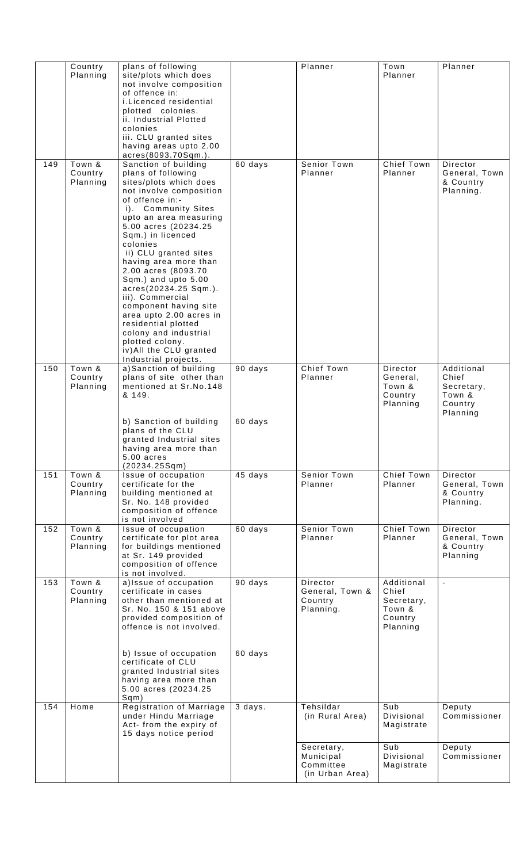|     | Country                       | plans of following                                                                                                                                                                                                                                                                                                                                                                                                                                                                                                                                  |                    | Planner                                                 | Town                                                               | Planner                                                            |
|-----|-------------------------------|-----------------------------------------------------------------------------------------------------------------------------------------------------------------------------------------------------------------------------------------------------------------------------------------------------------------------------------------------------------------------------------------------------------------------------------------------------------------------------------------------------------------------------------------------------|--------------------|---------------------------------------------------------|--------------------------------------------------------------------|--------------------------------------------------------------------|
|     | Planning                      | site/plots which does<br>not involve composition<br>of offence in:<br>i.Licenced residential<br>plotted colonies.<br>ii. Industrial Plotted<br>colonies<br>iii. CLU granted sites<br>having areas upto 2.00<br>acres(8093.70Sqm.).                                                                                                                                                                                                                                                                                                                  |                    |                                                         | Planner                                                            |                                                                    |
| 149 | Town &<br>Country<br>Planning | Sanction of building<br>plans of following<br>sites/plots which does<br>not involve composition<br>of offence in:-<br>i). Community Sites<br>upto an area measuring<br>5.00 acres (20234.25<br>Sqm.) in licenced<br>colonies<br>ii) CLU granted sites<br>having area more than<br>2.00 acres (8093.70<br>Sqm.) and upto 5.00<br>acres(20234.25 Sqm.).<br>iii). Commercial<br>component having site<br>area upto 2.00 acres in<br>residential plotted<br>colony and industrial<br>plotted colony.<br>iv) All the CLU granted<br>Industrial projects. | 60 days            | Senior Town<br>Planner                                  | <b>Chief Town</b><br>Planner                                       | Director<br>General, Town<br>& Country<br>Planning.                |
| 150 | Town &<br>Country<br>Planning | a)Sanction of building<br>plans of site other than<br>mentioned at Sr.No.148<br>& 149.<br>b) Sanction of building<br>plans of the CLU<br>granted Industrial sites<br>having area more than<br>$5.00$ acres<br>(20234.25Sqm)                                                                                                                                                                                                                                                                                                                         | 90 days<br>60 days | Chief Town<br>Planner                                   | Director<br>General,<br>Town &<br>Country<br>Planning              | Additional<br>Chief<br>Secretary,<br>Town &<br>Country<br>Planning |
| 151 | Town &<br>Country<br>Planning | Issue of occupation<br>certificate for the<br>building mentioned at<br>Sr. No. 148 provided<br>composition of offence<br>is not involved                                                                                                                                                                                                                                                                                                                                                                                                            | 45 days            | <b>Senior Town</b><br>Planner                           | <b>Chief Town</b><br>Planner                                       | Director<br>General, Town<br>& Country<br>Planning.                |
| 152 | Town &<br>Country<br>Planning | Issue of occupation<br>certificate for plot area<br>for buildings mentioned<br>at Sr. 149 provided<br>composition of offence<br>is not involved.                                                                                                                                                                                                                                                                                                                                                                                                    | 60 days            | Senior Town<br>Planner                                  | Chief Town<br>Planner                                              | Director<br>General, Town<br>& Country<br>Planning                 |
| 153 | Town &<br>Country<br>Planning | a)Issue of occupation<br>certificate in cases<br>other than mentioned at<br>Sr. No. 150 & 151 above<br>provided composition of<br>offence is not involved.<br>b) Issue of occupation                                                                                                                                                                                                                                                                                                                                                                | 90 days<br>60 days | Director<br>General, Town &<br>Country<br>Planning.     | Additional<br>Chief<br>Secretary,<br>Town &<br>Country<br>Planning | $\blacksquare$                                                     |
|     |                               | certificate of CLU<br>granted Industrial sites<br>having area more than<br>5.00 acres (20234.25<br>Sqm)                                                                                                                                                                                                                                                                                                                                                                                                                                             |                    |                                                         |                                                                    |                                                                    |
| 154 | Home                          | Registration of Marriage<br>under Hindu Marriage<br>Act- from the expiry of<br>15 days notice period                                                                                                                                                                                                                                                                                                                                                                                                                                                | 3 days.            | Tehsildar<br>(in Rural Area)                            | Sub<br>Divisional<br>Magistrate                                    | Deputy<br>Commissioner                                             |
|     |                               |                                                                                                                                                                                                                                                                                                                                                                                                                                                                                                                                                     |                    | Secretary,<br>Municipal<br>Committee<br>(in Urban Area) | Sub<br>Divisional<br>Magistrate                                    | Deputy<br>Commissioner                                             |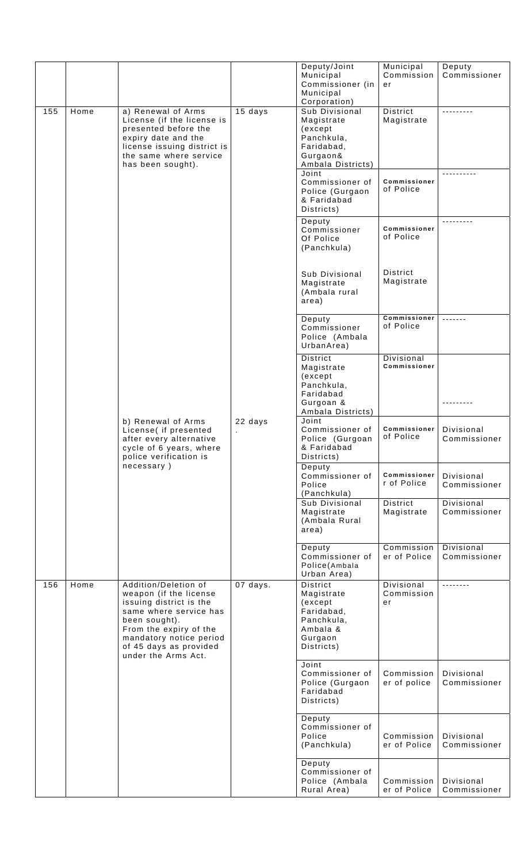|     |                    |                                                    |                   | Deputy/Joint                      | Municipal                  | Deputy                     |
|-----|--------------------|----------------------------------------------------|-------------------|-----------------------------------|----------------------------|----------------------------|
|     |                    |                                                    |                   | Municipal                         | Commission                 | Commissioner               |
|     |                    |                                                    |                   | Commissioner (in<br>Municipal     | er                         |                            |
|     |                    |                                                    |                   | Corporation)                      |                            |                            |
| 155 | Home               | a) Renewal of Arms                                 | 15 days           | Sub Divisional                    | District                   |                            |
|     |                    | License (if the license is                         |                   | Magistrate                        | Magistrate                 |                            |
|     |                    | presented before the                               |                   | (except                           |                            |                            |
|     |                    | expiry date and the<br>license issuing district is |                   | Panchkula,                        |                            |                            |
|     |                    | the same where service                             |                   | Faridabad,<br>Gurgaon&            |                            |                            |
|     |                    | has been sought).                                  |                   | Ambala Districts)                 |                            |                            |
|     |                    |                                                    |                   | Joint                             |                            |                            |
|     |                    |                                                    |                   | Commissioner of                   | Commissioner               |                            |
|     |                    |                                                    |                   | Police (Gurgaon                   | of Police                  |                            |
|     |                    |                                                    |                   | & Faridabad<br>Districts)         |                            |                            |
|     |                    |                                                    |                   | Deputy                            |                            | <u></u> .                  |
|     |                    |                                                    |                   | Commissioner                      | Commissioner               |                            |
|     |                    |                                                    |                   | Of Police                         | of Police                  |                            |
|     |                    |                                                    |                   | (Panchkula)                       |                            |                            |
|     |                    |                                                    |                   |                                   |                            |                            |
|     |                    |                                                    |                   | Sub Divisional                    | District                   |                            |
|     |                    |                                                    |                   | Magistrate                        | Magistrate                 |                            |
|     |                    |                                                    |                   | (Ambala rural                     |                            |                            |
|     |                    |                                                    |                   | area)                             |                            |                            |
|     |                    |                                                    |                   | Deputy                            | Commissioner               |                            |
|     |                    |                                                    |                   | Commissioner                      | of Police                  |                            |
|     |                    |                                                    |                   | Police (Ambala                    |                            |                            |
|     |                    |                                                    |                   | UrbanArea)                        |                            |                            |
|     |                    |                                                    |                   | <b>District</b>                   | Divisional                 |                            |
|     |                    |                                                    |                   | Magistrate                        | Commissioner               |                            |
|     |                    |                                                    |                   | (except<br>Panchkula,             |                            |                            |
|     |                    |                                                    |                   | Faridabad                         |                            |                            |
|     |                    |                                                    |                   | Gurgoan &                         |                            |                            |
|     |                    |                                                    | Ambala Districts) |                                   |                            |                            |
|     | b) Renewal of Arms |                                                    | 22 days           | Joint<br>Commissioner of          | Commissioner               | Divisional                 |
|     |                    | License( if presented<br>after every alternative   | $\blacksquare$    | Police (Gurgoan                   | of Police                  | Commissioner               |
|     |                    | cycle of 6 years, where                            |                   | & Faridabad                       |                            |                            |
|     |                    | police verification is                             |                   | Districts)                        |                            |                            |
|     |                    | necessary)                                         |                   | Deputy                            | Commissioner               |                            |
|     |                    |                                                    |                   | Commissioner of<br>Police         | r of Police                | Divisional<br>Commissioner |
|     |                    |                                                    |                   | (Panchkula)                       |                            |                            |
|     |                    |                                                    |                   | Sub Divisional                    | District                   | Divisional                 |
|     |                    |                                                    |                   | Magistrate                        | Magistrate                 | Commissioner               |
|     |                    |                                                    |                   | (Ambala Rural<br>area)            |                            |                            |
|     |                    |                                                    |                   |                                   |                            |                            |
|     |                    |                                                    |                   | Deputy                            | Commission                 | Divisional                 |
|     |                    |                                                    |                   | Commissioner of                   | er of Police               | Commissioner               |
|     |                    |                                                    |                   | Police(Ambala<br>Urban Area)      |                            |                            |
| 156 | Home               | Addition/Deletion of                               | 07 days.          | District                          | Divisional                 | <u></u>                    |
|     |                    | weapon (if the license                             |                   | Magistrate                        | Commission                 |                            |
|     |                    | issuing district is the                            |                   | (except                           | er                         |                            |
|     |                    | same where service has<br>been sought).            |                   | Faridabad,<br>Panchkula,          |                            |                            |
|     |                    | From the expiry of the                             |                   | Ambala &                          |                            |                            |
|     |                    | mandatory notice period                            |                   | Gurgaon                           |                            |                            |
|     |                    | of 45 days as provided<br>under the Arms Act.      |                   | Districts)                        |                            |                            |
|     |                    |                                                    |                   | Joint                             |                            |                            |
|     |                    |                                                    |                   | Commissioner of                   | Commission                 | Divisional                 |
|     |                    |                                                    |                   | Police (Gurgaon                   | er of police               | Commissioner               |
|     |                    |                                                    |                   | Faridabad                         |                            |                            |
|     |                    |                                                    |                   | Districts)                        |                            |                            |
|     |                    |                                                    |                   | Deputy                            |                            |                            |
|     |                    |                                                    |                   | Commissioner of                   |                            |                            |
|     |                    |                                                    |                   | Police<br>(Panchkula)             | Commission<br>er of Police | Divisional<br>Commissioner |
|     |                    |                                                    |                   |                                   |                            |                            |
|     |                    |                                                    |                   | Deputy                            |                            |                            |
|     |                    |                                                    |                   | Commissioner of<br>Police (Ambala | Commission                 | Divisional                 |
|     |                    |                                                    |                   | Rural Area)                       | er of Police               | Commissioner               |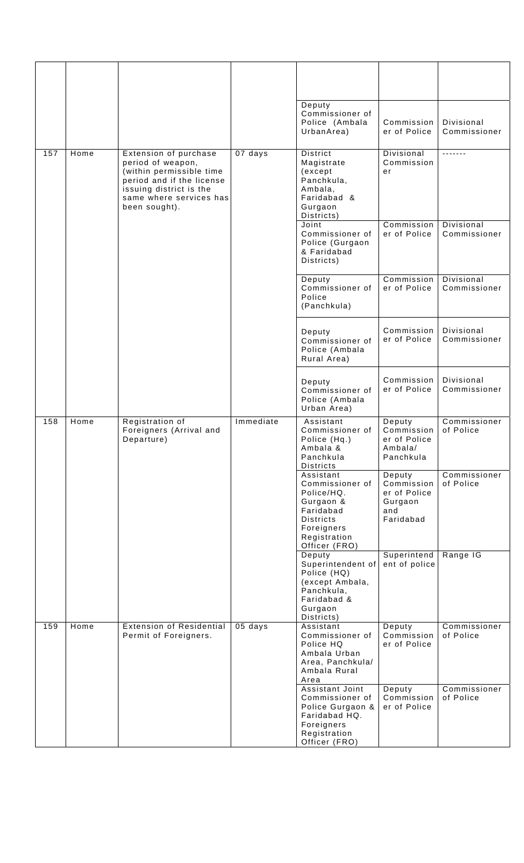|     |      |                                                                                                                                                                            |                            | Deputy<br>Commissioner of<br>Police (Ambala<br>UrbanArea)                                                                               | Commission<br>er of Police                                          | Divisional<br>Commissioner |
|-----|------|----------------------------------------------------------------------------------------------------------------------------------------------------------------------------|----------------------------|-----------------------------------------------------------------------------------------------------------------------------------------|---------------------------------------------------------------------|----------------------------|
| 157 | Home | Extension of purchase<br>period of weapon,<br>(within permissible time<br>period and if the license<br>issuing district is the<br>same where services has<br>been sought). | 07 days                    | <b>District</b><br>Magistrate<br>(except<br>Panchkula,<br>Ambala,<br>Faridabad &<br>Gurgaon<br>Districts)                               | Divisional<br>Commission<br>er                                      | <u>-------</u>             |
|     |      | Joint<br>Commissioner of<br>Police (Gurgaon<br>& Faridabad<br>Districts)                                                                                                   | Commission<br>er of Police | Divisional<br>Commissioner                                                                                                              |                                                                     |                            |
|     |      | Deputy<br>Commissioner of<br>Police<br>(Panchkula)                                                                                                                         | Commission<br>er of Police | Divisional<br>Commissioner                                                                                                              |                                                                     |                            |
|     |      |                                                                                                                                                                            |                            | Deputy<br>Commissioner of<br>Police (Ambala<br>Rural Area)                                                                              | Commission<br>er of Police                                          | Divisional<br>Commissioner |
|     |      |                                                                                                                                                                            |                            | Deputy<br>Commissioner of<br>Police (Ambala<br>Urban Area)                                                                              | Commission<br>er of Police                                          | Divisional<br>Commissioner |
| 158 | Home | Registration of<br>Foreigners (Arrival and<br>Departure)                                                                                                                   | Immediate                  | Assistant<br>Commissioner of<br>Police (Hq.)<br>Ambala &<br>Panchkula<br><b>Districts</b>                                               | Deputy<br>Commission<br>er of Police<br>Ambala/<br>Panchkula        | Commissioner<br>of Police  |
|     |      |                                                                                                                                                                            |                            | Assistant<br>Commissioner of<br>Police/HQ.<br>Gurgaon &<br>Faridabad<br><b>Districts</b><br>Foreigners<br>Registration<br>Officer (FRO) | Deputy<br>Commission<br>er of Police<br>Gurgaon<br>and<br>Faridabad | Commissioner<br>of Police  |
|     |      |                                                                                                                                                                            |                            | Deputy<br>Superintendent of<br>Police (HQ)<br>(except Ambala,<br>Panchkula,<br>Faridabad &<br>Gurgaon<br>Districts)                     | Superintend<br>ent of police                                        | Range IG                   |
| 159 | Home | <b>Extension of Residential</b><br>Permit of Foreigners.                                                                                                                   | 05 days                    | Assistant<br>Commissioner of<br>Police HQ<br>Ambala Urban<br>Area, Panchkula/<br>Ambala Rural<br>Area                                   | Deputy<br>Commission<br>er of Police                                | Commissioner<br>of Police  |
|     |      |                                                                                                                                                                            |                            | Assistant Joint<br>Commissioner of<br>Police Gurgaon &<br>Faridabad HQ.<br>Foreigners<br>Registration<br>Officer (FRO)                  | Deputy<br>Commission<br>er of Police                                | Commissioner<br>of Police  |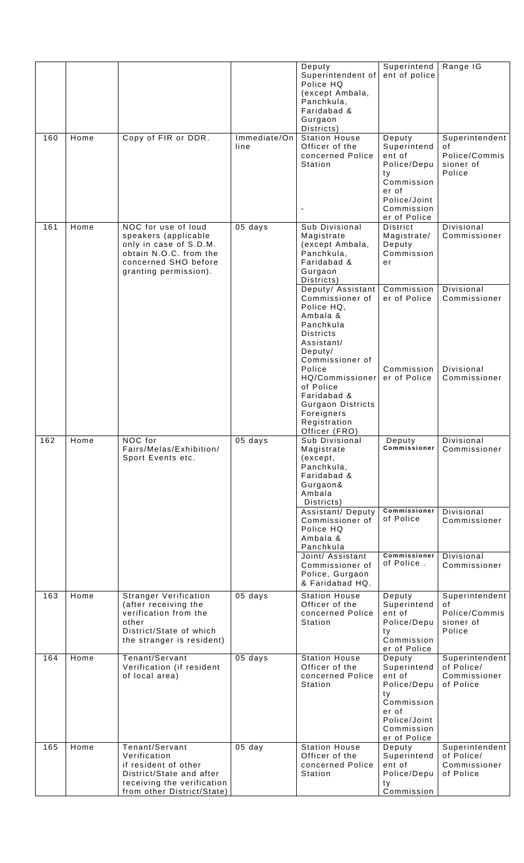| 160 | Home | Copy of FIR or DDR.                                                                                                                              | Immediate/On<br>line | Deputy<br>Superintendent of<br>Police HQ<br>(except Ambala,<br>Panchkula,<br>Faridabad &<br>Gurgaon<br>Districts)<br><b>Station House</b><br>Officer of the<br>concerned Police<br>Station                                                                                                                           | Superintend<br>ent of police<br>Deputy<br>Superintend<br>ent of<br>Police/Depu<br>ty<br>Commission<br>er of<br>Police/Joint<br>Commission<br>er of Police | Range IG<br>Superintendent<br>οf<br>Police/Commis<br>sioner of<br>Police               |
|-----|------|--------------------------------------------------------------------------------------------------------------------------------------------------|----------------------|----------------------------------------------------------------------------------------------------------------------------------------------------------------------------------------------------------------------------------------------------------------------------------------------------------------------|-----------------------------------------------------------------------------------------------------------------------------------------------------------|----------------------------------------------------------------------------------------|
| 161 | Home | NOC for use of loud<br>speakers (applicable<br>only in case of S.D.M.<br>obtain N.O.C. from the<br>concerned SHO before<br>granting permission). | 05 days              | Sub Divisional<br>Magistrate<br>(except Ambala,<br>Panchkula,<br>Faridabad &<br>Gurgaon<br>Districts)                                                                                                                                                                                                                | <b>District</b><br>Magistrate/<br>Deputy<br>Commission<br>er                                                                                              | Divisional<br>Commissioner                                                             |
| 162 | Home | NOC for<br>Fairs/Melas/Exhibition/<br>Sport Events etc.                                                                                          | 05 days              | Deputy/ Assistant<br>Commissioner of<br>Police HQ,<br>Ambala &<br>Panchkula<br><b>Districts</b><br>Assistant/<br>Deputy/<br>Commissioner of<br>Police<br>HQ/Commissioner<br>of Police<br>Faridabad &<br>Gurgaon Districts<br>Foreigners<br>Registration<br>Officer (FRO)<br>Sub Divisional<br>Magistrate<br>(except, | Commission<br>er of Police<br>Commission<br>er of Police<br>Deputy<br><b>Commissioner</b>                                                                 | Divisional<br>Commissioner<br>Divisional<br>Commissioner<br>Divisional<br>Commissioner |
|     |      |                                                                                                                                                  |                      | Panchkula,<br>Faridabad &<br>Gurgaon&<br>Ambala<br>Districts)<br>Assistant/ Deputy<br>Commissioner of<br>Police HQ<br>Ambala &<br>Panchkula<br>Joint/ Assistant<br>Commissioner of<br>Police, Gurgaon<br>& Faridabad HQ.                                                                                             | Commissioner<br>of Police<br>Commissioner<br>of Police.                                                                                                   | Divisional<br>Commissioner<br>Divisional<br>Commissioner                               |
| 163 | Home | <b>Stranger Verification</b><br>(after receiving the<br>verification from the<br>other<br>District/State of which<br>the stranger is resident)   | 05 days              | <b>Station House</b><br>Officer of the<br>concerned Police<br>Station                                                                                                                                                                                                                                                | Deputy<br>Superintend<br>ent of<br>Police/Depu<br>ty<br>Commission<br>er of Police                                                                        | Superintendent<br>οf<br>Police/Commis<br>sioner of<br>Police                           |
| 164 | Home | Tenant/Servant<br>Verification (if resident<br>of local area)                                                                                    | 05 days              | <b>Station House</b><br>Officer of the<br>concerned Police<br>Station                                                                                                                                                                                                                                                | Deputy<br>Superintend<br>ent of<br>Police/Depu<br>ty<br>Commission<br>er of<br>Police/Joint<br>Commission<br>er of Police                                 | Superintendent<br>of Police/<br>Commissioner<br>of Police                              |
| 165 | Home | Tenant/Servant<br>Verification<br>if resident of other<br>District/State and after<br>receiving the verification<br>from other District/State)   | $05$ day             | <b>Station House</b><br>Officer of the<br>concerned Police<br>Station                                                                                                                                                                                                                                                | Deputy<br>Superintend<br>ent of<br>Police/Depu<br>ty<br>Commission                                                                                        | Superintendent<br>of Police/<br>Commissioner<br>of Police                              |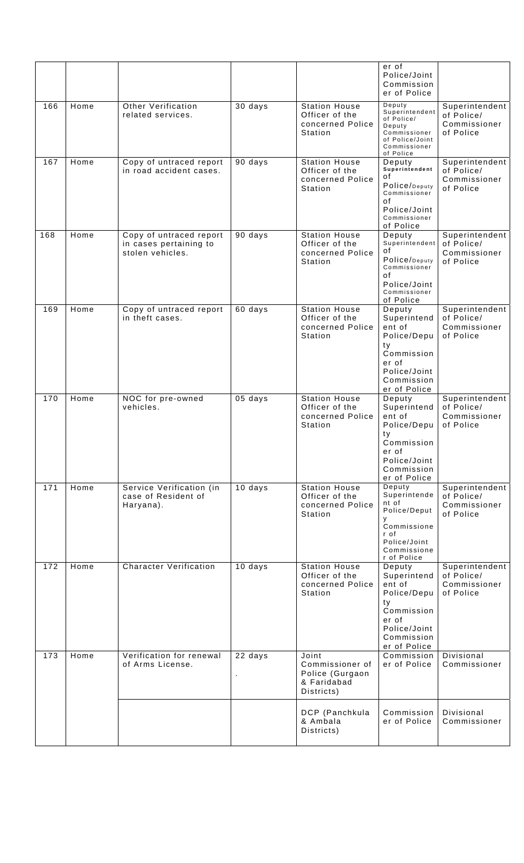|     |      |                                                                       |         |                                                                          | er of<br>Police/Joint<br>Commission<br>er of Police                                                                       |                                                           |
|-----|------|-----------------------------------------------------------------------|---------|--------------------------------------------------------------------------|---------------------------------------------------------------------------------------------------------------------------|-----------------------------------------------------------|
| 166 | Home | Other Verification<br>related services.                               | 30 days | <b>Station House</b><br>Officer of the<br>concerned Police<br>Station    | Deputy<br>Superintendent<br>of Police/<br>Deputy<br>Commissioner<br>of Police/Joint<br>Commissioner<br>of Police          | Superintendent<br>of Police/<br>Commissioner<br>of Police |
| 167 | Home | Copy of untraced report<br>in road accident cases.                    | 90 days | <b>Station House</b><br>Officer of the<br>concerned Police<br>Station    | Deputy<br>Superintendent<br>οf<br>Police/Deputy<br>Commissioner<br>οf<br>Police/Joint<br>Commissioner<br>of Police        | Superintendent<br>of Police/<br>Commissioner<br>of Police |
| 168 | Home | Copy of untraced report<br>in cases pertaining to<br>stolen vehicles. | 90 days | <b>Station House</b><br>Officer of the<br>concerned Police<br>Station    | Deputy<br>Superintendent<br>οf<br>Police/Deputy<br>Commissioner<br>οf<br>Police/Joint<br>Commissioner<br>of Police        | Superintendent<br>of Police/<br>Commissioner<br>of Police |
| 169 | Home | Copy of untraced report<br>in theft cases.                            | 60 days | <b>Station House</b><br>Officer of the<br>concerned Police<br>Station    | Deputy<br>Superintend<br>ent of<br>Police/Depu<br>ty<br>Commission<br>er of<br>Police/Joint<br>Commission<br>er of Police | Superintendent<br>of Police/<br>Commissioner<br>of Police |
| 170 | Home | NOC for pre-owned<br>vehicles.                                        | 05 days | <b>Station House</b><br>Officer of the<br>concerned Police<br>Station    | Deputy<br>Superintend<br>ent of<br>Police/Depu<br>ty<br>Commission<br>er of<br>Police/Joint<br>Commission<br>er of Police | Superintendent<br>of Police/<br>Commissioner<br>of Police |
| 171 | Home | Service Verification (in<br>case of Resident of<br>Haryana).          | 10 days | <b>Station House</b><br>Officer of the<br>concerned Police<br>Station    | Deputy<br>Superintende<br>nt of<br>Police/Deput<br>y<br>Commissione<br>r of<br>Police/Joint<br>Commissione<br>r of Police | Superintendent<br>of Police/<br>Commissioner<br>of Police |
| 172 | Home | <b>Character Verification</b>                                         | 10 days | <b>Station House</b><br>Officer of the<br>concerned Police<br>Station    | Deputy<br>Superintend<br>ent of<br>Police/Depu<br>ty<br>Commission<br>er of<br>Police/Joint<br>Commission<br>er of Police | Superintendent<br>of Police/<br>Commissioner<br>of Police |
| 173 | Home | Verification for renewal<br>of Arms License.                          | 22 days | Joint<br>Commissioner of<br>Police (Gurgaon<br>& Faridabad<br>Districts) | Commission<br>er of Police                                                                                                | Divisional<br>Commissioner                                |
|     |      |                                                                       |         | DCP (Panchkula<br>& Ambala<br>Districts)                                 | Commission<br>er of Police                                                                                                | Divisional<br>Commissioner                                |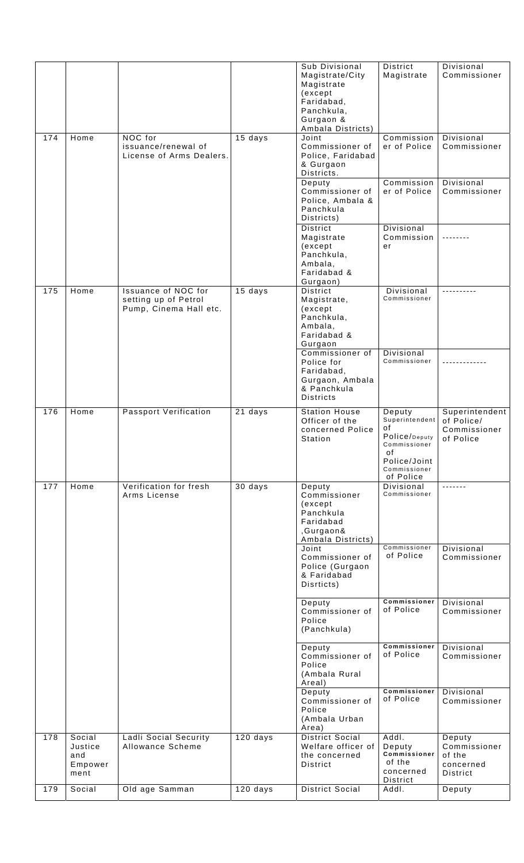|     |                                             |                                                                              |            | Sub Divisional<br>Magistrate/City<br>Magistrate<br>(except<br>Faridabad,<br>Panchkula,<br>Gurgaon &<br>Ambala Districts) | District<br>Magistrate                                                                                             | Divisional<br>Commissioner                                |
|-----|---------------------------------------------|------------------------------------------------------------------------------|------------|--------------------------------------------------------------------------------------------------------------------------|--------------------------------------------------------------------------------------------------------------------|-----------------------------------------------------------|
| 174 | Home                                        | NOC for<br>issuance/renewal of<br>License of Arms Dealers.                   | 15 days    | Joint<br>Commissioner of<br>Police, Faridabad<br>& Gurgaon<br>Districts.                                                 | Commission<br>er of Police                                                                                         | Divisional<br>Commissioner                                |
|     |                                             |                                                                              |            | Deputy<br>Commissioner of<br>Police, Ambala &<br>Panchkula<br>Districts)                                                 | Commission<br>er of Police                                                                                         | Divisional<br>Commissioner                                |
|     |                                             |                                                                              |            | District<br>Magistrate<br>(except<br>Panchkula,<br>Ambala,<br>Faridabad &<br>Gurgaon)                                    | Divisional<br>Commission<br>er                                                                                     |                                                           |
| 175 | Home                                        | <b>Issuance of NOC for</b><br>setting up of Petrol<br>Pump, Cinema Hall etc. | $15$ days  | District<br>Magistrate,<br>(except<br>Panchkula,<br>Ambala,<br>Faridabad &<br>Gurgaon                                    | <b>Divisional</b><br>Commissioner                                                                                  |                                                           |
|     |                                             |                                                                              |            | Commissioner of<br>Police for<br>Faridabad,<br>Gurgaon, Ambala<br>& Panchkula<br><b>Districts</b>                        | Divisional<br>Commissioner                                                                                         |                                                           |
| 176 | Home                                        | <b>Passport Verification</b>                                                 | 21 days    | <b>Station House</b><br>Officer of the<br>concerned Police<br>Station                                                    | Deputy<br>Superintendent<br>of<br>Police/Deputy<br>Commissioner<br>οf<br>Police/Joint<br>Commissioner<br>of Police | Superintendent<br>of Police/<br>Commissioner<br>of Police |
| 177 | Home                                        | Verification for fresh<br>Arms License                                       | 30 days    | Deputy<br>Commissioner<br>(except<br>Panchkula<br>Faridabad<br>,Gurgaon&<br>Ambala Districts)                            | Divisional<br>Commissioner                                                                                         |                                                           |
|     |                                             |                                                                              |            | Joint<br>Commissioner of<br>Police (Gurgaon<br>& Faridabad<br>Disrticts)                                                 | Commissioner<br>of Police                                                                                          | Divisional<br>Commissioner                                |
|     |                                             |                                                                              |            | Deputy<br>Commissioner of<br>Police<br>(Panchkula)                                                                       | Commissioner<br>of Police                                                                                          | Divisional<br>Commissioner                                |
|     |                                             |                                                                              |            | Deputy<br>Commissioner of<br>Police<br>(Ambala Rural<br>Areal)                                                           | Commissioner<br>of Police                                                                                          | Divisional<br>Commissioner                                |
|     |                                             |                                                                              |            | Deputy<br>Commissioner of<br>Police<br>(Ambala Urban<br>Area)                                                            | Commissioner<br>of Police                                                                                          | Divisional<br>Commissioner                                |
| 178 | Social<br>Justice<br>and<br>Empower<br>ment | <b>Ladli Social Security</b><br>Allowance Scheme                             | $120$ days | <b>District Social</b><br>Welfare officer of<br>the concerned<br>District                                                | Addl.<br>Deputy<br><b>Commissioner</b><br>of the<br>concerned                                                      | Deputy<br>Commissioner<br>of the<br>concerned<br>District |
| 179 | Social                                      | Old age Samman                                                               | 120 days   | <b>District Social</b>                                                                                                   | District<br>Addl.                                                                                                  | Deputy                                                    |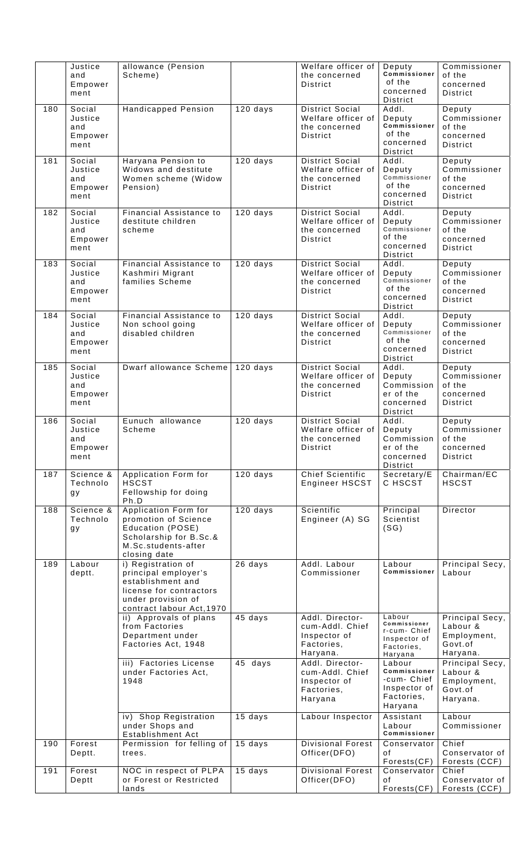|     | Justice        | allowance (Pension                 |            | Welfare officer of                  | Deputy                     | Commissioner              |
|-----|----------------|------------------------------------|------------|-------------------------------------|----------------------------|---------------------------|
|     | and            | Scheme)                            |            | the concerned                       | Commissioner               | of the                    |
|     | Empower        |                                    |            | District                            | of the<br>concerned        | concerned                 |
|     | ment           |                                    |            |                                     | District                   | <b>District</b>           |
| 180 | Social         | <b>Handicapped Pension</b>         | $120$ days | District Social                     | Addl.                      | Deputy                    |
|     | Justice        |                                    |            | Welfare officer of                  | Deputy                     | Commissioner              |
|     | and            |                                    |            | the concerned                       | Commissioner               | of the                    |
|     | Empower        |                                    |            | <b>District</b>                     | of the                     | concerned                 |
|     | ment           |                                    |            |                                     | concerned<br>District      | <b>District</b>           |
| 181 | Social         | Haryana Pension to                 | $120$ days | District Social                     | Addl.                      | Deputy                    |
|     | Justice        | Widows and destitute               |            | Welfare officer of                  | Deputy                     | Commissioner              |
|     | and            | Women scheme (Widow                |            | the concerned                       | Commissioner               | of the                    |
|     | Empower        | Pension)                           |            | <b>District</b>                     | of the                     | concerned                 |
|     | ment           |                                    |            |                                     | concerned<br>District      | <b>District</b>           |
| 182 | Social         | Financial Assistance to            | $120$ days | District Social                     | Addl.                      | Deputy                    |
|     | Justice        | destitute children                 |            | Welfare officer of                  | Deputy                     | Commissioner              |
|     | and            | scheme                             |            | the concerned                       | Commissioner               | of the                    |
|     | Empower        |                                    |            | District                            | of the                     | concerned                 |
|     | ment           |                                    |            |                                     | concerned<br>District      | <b>District</b>           |
| 183 | Social         | Financial Assistance to            | 120 days   | District Social                     | Addl.                      | Deputy                    |
|     | Justice        | Kashmiri Migrant                   |            | Welfare officer of                  |                            | Commissioner              |
|     | and            | families Scheme                    |            | the concerned                       | Deputy<br>Commissioner     | of the                    |
|     | Empower        |                                    |            | District                            | of the                     | concerned                 |
|     | ment           |                                    |            |                                     | concerned                  | <b>District</b>           |
| 184 | Social         | Financial Assistance to            | 120 days   | <b>District Social</b>              | District<br>Addl.          | Deputy                    |
|     | Justice        | Non school going                   |            | Welfare officer of                  |                            | Commissioner              |
|     | and            | disabled children                  |            | the concerned                       | Deputy<br>Commissioner     | of the                    |
|     | Empower        |                                    |            | District                            | of the                     | concerned                 |
|     | ment           |                                    |            |                                     | concerned                  | District                  |
| 185 | Social         | Dwarf allowance Scheme             | 120 days   | <b>District Social</b>              | District<br>Addl.          | Deputy                    |
|     | Justice        |                                    |            | Welfare officer of                  | Deputy                     | Commissioner              |
|     | and            |                                    |            | the concerned                       | Commission                 | of the                    |
|     | Empower        |                                    |            | <b>District</b>                     | er of the                  | concerned                 |
|     | ment           |                                    |            |                                     | concerned                  | District                  |
|     |                |                                    |            |                                     | District                   |                           |
| 186 | Social         | Eunuch allowance                   | 120 days   | <b>District Social</b>              | Addl.                      | Deputy                    |
|     | Justice<br>and | Scheme                             |            | Welfare officer of<br>the concerned | Deputy<br>Commission       | Commissioner<br>of the    |
|     | Empower        |                                    |            | District                            | er of the                  | concerned                 |
|     | ment           |                                    |            |                                     | concerned                  | District                  |
|     |                |                                    |            |                                     | District                   |                           |
| 187 | Science &      | Application Form for               | 120 days   | <b>Chief Scientific</b>             | Secretary/E                | Chairman/EC               |
|     | Technolo       | <b>HSCST</b>                       |            | Engineer HSCST                      | C HSCST                    | <b>HSCST</b>              |
|     | gу             | Fellowship for doing<br>Ph.D       |            |                                     |                            |                           |
| 188 | Science &      | Application Form for               | $120$ days | Scientific                          | Principal                  | Director                  |
|     | Technolo       | promotion of Science               |            | Engineer (A) SG                     | Scientist                  |                           |
|     | gу             | Education (POSE)                   |            |                                     | (SG)                       |                           |
|     |                | Scholarship for B.Sc.&             |            |                                     |                            |                           |
|     |                | M.Sc.students-after                |            |                                     |                            |                           |
| 189 | Labour         | closing date<br>i) Registration of |            | Addl. Labour                        | Labour                     |                           |
|     | deptt.         | principal employer's               | 26 days    | Commissioner                        | Commissioner               | Principal Secy,<br>Labour |
|     |                | establishment and                  |            |                                     |                            |                           |
|     |                | license for contractors            |            |                                     |                            |                           |
|     |                | under provision of                 |            |                                     |                            |                           |
|     |                | contract labour Act, 1970          |            |                                     |                            |                           |
|     |                | ii) Approvals of plans             | 45 days    | Addl. Director-                     | Labour<br>Commissioner     | Principal Secy,           |
|     |                | from Factories<br>Department under |            | cum-Addl. Chief<br>Inspector of     | r-cum- Chief               | Labour &<br>Employment,   |
|     |                | Factories Act, 1948                |            | Factories,                          | Inspector of               | Govt.of                   |
|     |                |                                    |            | Haryana.                            | Factories,<br>Haryana      | Haryana.                  |
|     |                | iii) Factories License             | 45 days    | Addl. Director-                     | Labour                     | Principal Secy,           |
|     |                | under Factories Act,               |            | cum-Addl. Chief                     | Commissioner               | Labour &                  |
|     |                | 1948                               |            | Inspector of                        | -cum- Chief                | Employment,               |
|     |                |                                    |            | Factories,                          | Inspector of<br>Factories, | Govt.of                   |
|     |                |                                    |            | Haryana                             | Haryana                    | Haryana.                  |
|     |                | iv) Shop Registration              | 15 days    | Labour Inspector                    | Assistant                  | Labour                    |
|     |                | under Shops and                    |            |                                     | Labour                     | Commissioner              |
|     |                | Establishment Act                  |            |                                     | <b>Commissioner</b>        |                           |
| 190 | Forest         | Permission for felling of          | 15 days    | <b>Divisional Forest</b>            | Conservator                | Chief                     |
|     | Deptt.         | trees.                             |            | Officer(DFO)                        | οf                         | Conservator of            |
|     | Forest         | NOC in respect of PLPA             |            | <b>Divisional Forest</b>            | Forests(CF)<br>Conservator | Forests (CCF)<br>Chief    |
| 191 | Deptt          | or Forest or Restricted            | 15 days    | Officer(DFO)                        | ٥f                         | Conservator of            |
|     |                | lands                              |            |                                     | Forests(CF)                | Forests (CCF)             |
|     |                |                                    |            |                                     |                            |                           |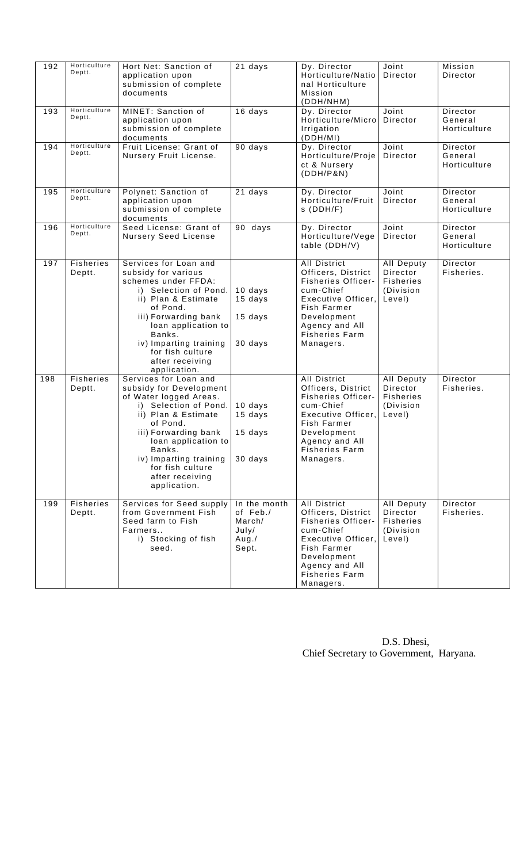| 192 | Horticulture<br>Deptt.     | Hort Net: Sanction of<br>application upon<br>submission of complete<br>documents                                                                                                                                                                                                 | $21$ days                                                      | Dy. Director<br>Horticulture/Natio<br>nal Horticulture<br>Mission<br>(DDH/NHM)                                                                                                                  | Joint<br>Director                                                        | Mission<br>Director                 |
|-----|----------------------------|----------------------------------------------------------------------------------------------------------------------------------------------------------------------------------------------------------------------------------------------------------------------------------|----------------------------------------------------------------|-------------------------------------------------------------------------------------------------------------------------------------------------------------------------------------------------|--------------------------------------------------------------------------|-------------------------------------|
| 193 | Horticulture<br>Deptt.     | MINET: Sanction of<br>application upon<br>submission of complete<br>documents                                                                                                                                                                                                    | 16 days                                                        | Dy. Director<br>Horticulture/Micro<br>Irrigation<br>(DDH/MI)                                                                                                                                    | Joint<br>Director                                                        | Director<br>General<br>Horticulture |
| 194 | Horticulture<br>Deptt.     | Fruit License: Grant of<br>Nursery Fruit License.                                                                                                                                                                                                                                | 90 days                                                        | Dy. Director<br>Horticulture/Proje<br>ct & Nursery<br>(DDH/P&N)                                                                                                                                 | Joint<br>Director                                                        | Director<br>General<br>Horticulture |
| 195 | Horticulture<br>Deptt.     | Polynet: Sanction of<br>application upon<br>submission of complete<br>documents                                                                                                                                                                                                  | 21 days                                                        | Dy. Director<br>Horticulture/Fruit<br>$S$ (DDH/F)                                                                                                                                               | Joint<br>Director                                                        | Director<br>General<br>Horticulture |
| 196 | Horticulture<br>Deptt.     | Seed License: Grant of<br><b>Nursery Seed License</b>                                                                                                                                                                                                                            | 90 days                                                        | Dy. Director<br>Horticulture/Vege<br>table (DDH/V)                                                                                                                                              | Joint<br>Director                                                        | Director<br>General<br>Horticulture |
| 197 | <b>Fisheries</b><br>Deptt. | Services for Loan and<br>subsidy for various<br>schemes under FFDA:<br>i) Selection of Pond.<br>ii) Plan & Estimate<br>of Pond.<br>iii) Forwarding bank<br>loan application to<br>Banks.<br>iv) Imparting training<br>for fish culture<br>after receiving<br>application.        | 10 days<br>15 days<br>15 days<br>30 days                       | <b>All District</b><br>Officers, District<br><b>Fisheries Officer-</b><br>cum-Chief<br>Executive Officer,<br>Fish Farmer<br>Development<br>Agency and All<br><b>Fisheries Farm</b><br>Managers. | All Deputy<br>Director<br><b>Fisheries</b><br>(Division<br>Level)        | Director<br>Fisheries.              |
| 198 | <b>Fisheries</b><br>Deptt. | Services for Loan and<br>subsidy for Development<br>of Water logged Areas.<br>i) Selection of Pond.<br>ii) Plan & Estimate<br>of Pond.<br>iii) Forwarding bank<br>loan application to<br>Banks.<br>iv) Imparting training<br>for fish culture<br>after receiving<br>application. | 10 days<br>15 days<br>15 days<br>30 days                       | <b>All District</b><br>Officers, District<br><b>Fisheries Officer-</b><br>cum-Chief<br>Executive Officer,<br>Fish Farmer<br>Development<br>Agency and All<br><b>Fisheries Farm</b><br>Managers. | <b>All Deputy</b><br>Director<br><b>Fisheries</b><br>(Division<br>Level) | Director<br>Fisheries.              |
| 199 | <b>Fisheries</b><br>Deptt. | Services for Seed supply<br>from Government Fish<br>Seed farm to Fish<br>Farmers<br>i) Stocking of fish<br>seed.                                                                                                                                                                 | In the month<br>of Feb./<br>March/<br>July/<br>Aug. /<br>Sept. | <b>All District</b><br>Officers, District<br><b>Fisheries Officer-</b><br>cum-Chief<br>Executive Officer,<br>Fish Farmer<br>Development<br>Agency and All<br><b>Fisheries Farm</b><br>Managers. | All Deputy<br>Director<br><b>Fisheries</b><br>(Division<br>Level)        | Director<br>Fisheries.              |

| D.S. Dhesi,                             |  |
|-----------------------------------------|--|
| Chief Secretary to Government, Haryana. |  |